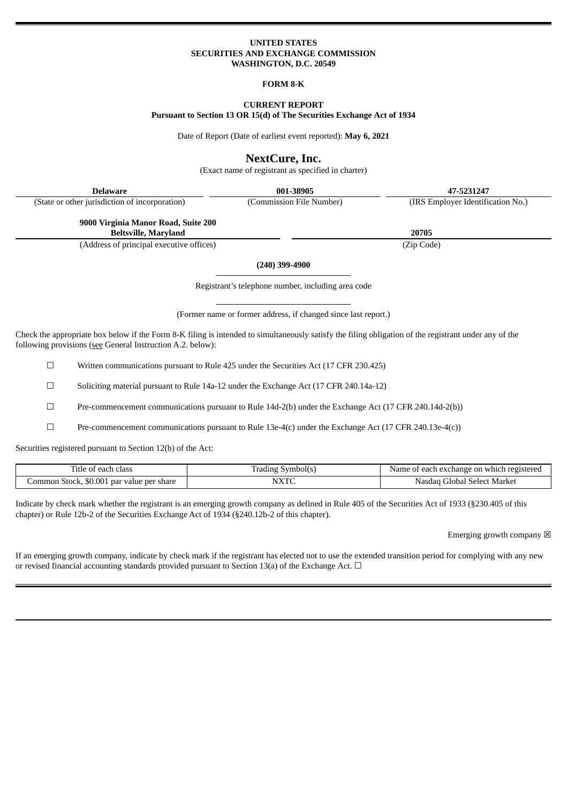## **UNITED STATES SECURITIES AND EXCHANGE COMMISSION WASHINGTON, D.C. 20549**

### **FORM 8-K**

# **CURRENT REPORT Pursuant to Section 13 OR 15(d) of The Securities Exchange Act of 1934**

Date of Report (Date of earliest event reported): **May 6, 2021**

# **NextCure, Inc.**

(Exact name of registrant as specified in charter)

| <b>Delaware</b>                                | 001-38905                | 47-5231247                        |
|------------------------------------------------|--------------------------|-----------------------------------|
| (State or other jurisdiction of incorporation) | (Commission File Number) | (IRS Employer Identification No.) |
| 9000 Virginia Manor Road, Suite 200            |                          |                                   |
| <b>Beltsville, Maryland</b>                    |                          | 20705                             |
| (Address of principal executive offices)       |                          | (Zip Code)                        |
|                                                | $(0.10)$ $0.00$ $10.00$  |                                   |

**(240) 399-4900**

Registrant's telephone number, including area code

(Former name or former address, if changed since last report.)

Check the appropriate box below if the Form 8-K filing is intended to simultaneously satisfy the filing obligation of the registrant under any of the following provisions (see General Instruction A.2. below):

☐ Written communications pursuant to Rule 425 under the Securities Act (17 CFR 230.425)

☐ Soliciting material pursuant to Rule 14a-12 under the Exchange Act (17 CFR 240.14a-12)

 $\Box$  Pre-commencement communications pursuant to Rule 14d-2(b) under the Exchange Act (17 CFR 240.14d-2(b))

 $\square$  Pre-commencement communications pursuant to Rule 13e-4(c) under the Exchange Act (17 CFR 240.13e-4(c))

Securities registered pursuant to Section 12(b) of the Act:

| Title<br>.class<br>each<br>. വ<br>- - - -                                       | symbol(s            | ı registere<br>each exchange :<br>on<br>Name<br>≅which. |
|---------------------------------------------------------------------------------|---------------------|---------------------------------------------------------|
| $\sim$<br>$\sim$<br>value per<br>ommon<br>share<br>50.001<br>Stock.<br>pai<br>. | <b>ATTZTPC</b><br>◝ | Market<br>$.$ Select<br>Gilobal<br>Nasdad               |

Indicate by check mark whether the registrant is an emerging growth company as defined in Rule 405 of the Securities Act of 1933 (§230.405 of this chapter) or Rule 12b-2 of the Securities Exchange Act of 1934 (§240.12b-2 of this chapter).

Emerging growth company  $\boxtimes$ 

If an emerging growth company, indicate by check mark if the registrant has elected not to use the extended transition period for complying with any new or revised financial accounting standards provided pursuant to Section 13(a) of the Exchange Act.  $\Box$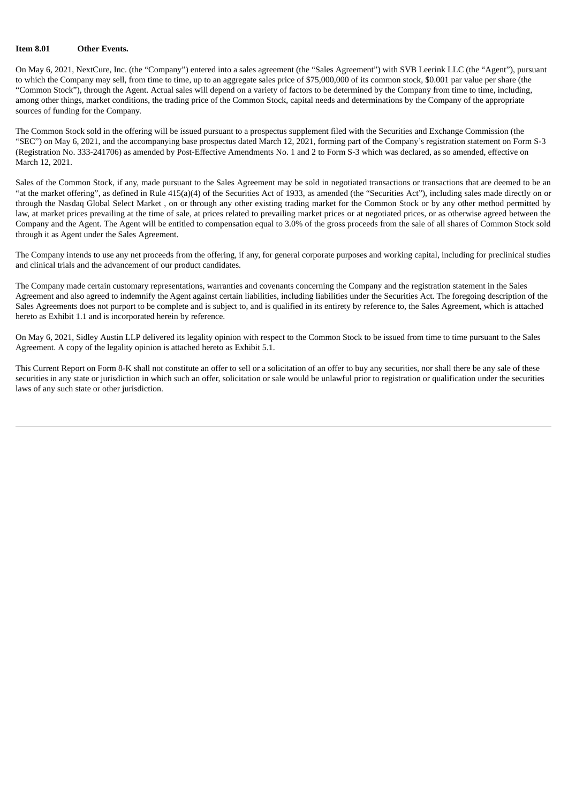### **Item 8.01 Other Events.**

On May 6, 2021, NextCure, Inc. (the "Company") entered into a sales agreement (the "Sales Agreement") with SVB Leerink LLC (the "Agent"), pursuant to which the Company may sell, from time to time, up to an aggregate sales price of \$75,000,000 of its common stock, \$0.001 par value per share (the "Common Stock"), through the Agent. Actual sales will depend on a variety of factors to be determined by the Company from time to time, including, among other things, market conditions, the trading price of the Common Stock, capital needs and determinations by the Company of the appropriate sources of funding for the Company.

The Common Stock sold in the offering will be issued pursuant to a prospectus supplement filed with the Securities and Exchange Commission (the "SEC") on May 6, 2021, and the accompanying base prospectus dated March 12, 2021, forming part of the Company's registration statement on Form S-3 (Registration No. 333-241706) as amended by Post-Effective Amendments No. 1 and 2 to Form S-3 which was declared, as so amended, effective on March 12, 2021.

Sales of the Common Stock, if any, made pursuant to the Sales Agreement may be sold in negotiated transactions or transactions that are deemed to be an "at the market offering", as defined in Rule 415(a)(4) of the Securities Act of 1933, as amended (the "Securities Act"), including sales made directly on or through the Nasdaq Global Select Market , on or through any other existing trading market for the Common Stock or by any other method permitted by law, at market prices prevailing at the time of sale, at prices related to prevailing market prices or at negotiated prices, or as otherwise agreed between the Company and the Agent. The Agent will be entitled to compensation equal to 3.0% of the gross proceeds from the sale of all shares of Common Stock sold through it as Agent under the Sales Agreement.

The Company intends to use any net proceeds from the offering, if any, for general corporate purposes and working capital, including for preclinical studies and clinical trials and the advancement of our product candidates.

The Company made certain customary representations, warranties and covenants concerning the Company and the registration statement in the Sales Agreement and also agreed to indemnify the Agent against certain liabilities, including liabilities under the Securities Act. The foregoing description of the Sales Agreements does not purport to be complete and is subject to, and is qualified in its entirety by reference to, the Sales Agreement, which is attached hereto as Exhibit 1.1 and is incorporated herein by reference.

On May 6, 2021, Sidley Austin LLP delivered its legality opinion with respect to the Common Stock to be issued from time to time pursuant to the Sales Agreement. A copy of the legality opinion is attached hereto as Exhibit 5.1.

This Current Report on Form 8-K shall not constitute an offer to sell or a solicitation of an offer to buy any securities, nor shall there be any sale of these securities in any state or jurisdiction in which such an offer, solicitation or sale would be unlawful prior to registration or qualification under the securities laws of any such state or other jurisdiction.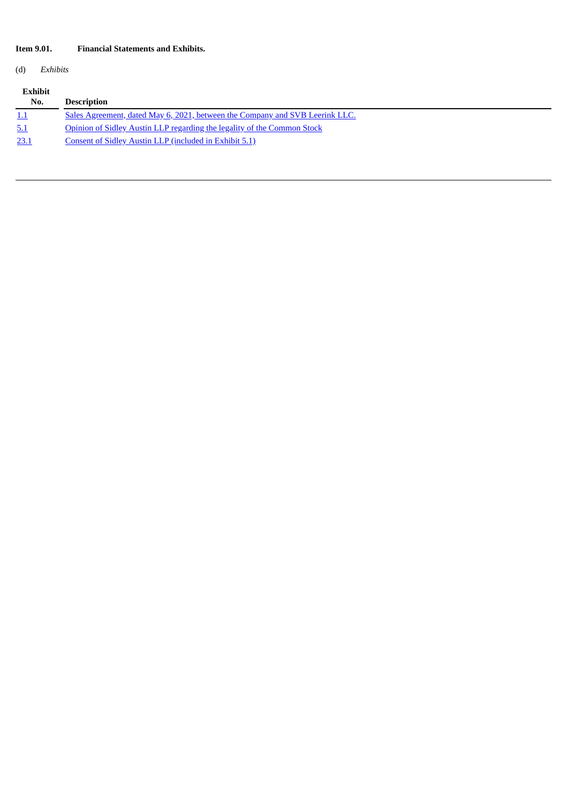# **Item 9.01. Financial Statements and Exhibits.**

(d) *Exhibits*

| <b>Exhibit</b><br>No. | <b>Description</b>                                                           |
|-----------------------|------------------------------------------------------------------------------|
| <u>1.1</u>            | Sales Agreement, dated May 6, 2021, between the Company and SVB Leerink LLC. |
| 5.1                   | Opinion of Sidley Austin LLP regarding the legality of the Common Stock      |
| 23.1                  | Consent of Sidley Austin LLP (included in Exhibit 5.1)                       |
|                       |                                                                              |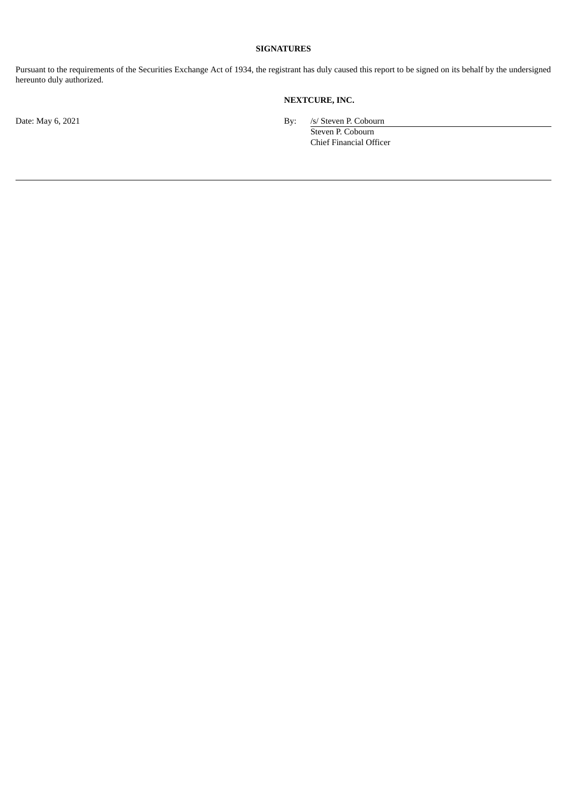# **SIGNATURES**

Pursuant to the requirements of the Securities Exchange Act of 1934, the registrant has duly caused this report to be signed on its behalf by the undersigned hereunto duly authorized.

# **NEXTCURE, INC.**

Date: May 6, 2021 By: /s/ Steven P. Cobourn

Steven P. Cobourn Chief Financial Officer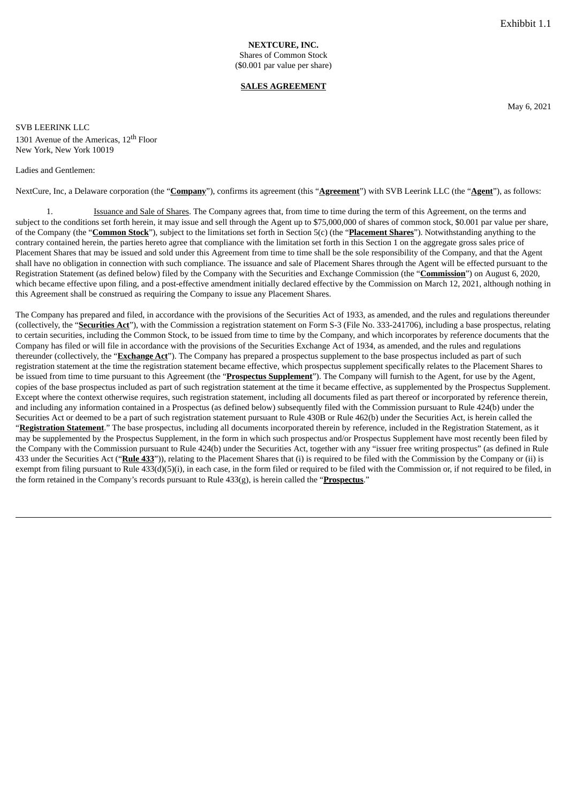#### **SALES AGREEMENT**

May 6, 2021

<span id="page-4-0"></span>SVB LEERINK LLC 1301 Avenue of the Americas, 12<sup>th</sup> Floor New York, New York 10019

#### Ladies and Gentlemen:

NextCure, Inc, a Delaware corporation (the "**Company**"), confirms its agreement (this "**Agreement**") with SVB Leerink LLC (the "**Agent**"), as follows:

1. Issuance and Sale of Shares. The Company agrees that, from time to time during the term of this Agreement, on the terms and subject to the conditions set forth herein, it may issue and sell through the Agent up to \$75,000,000 of shares of common stock, \$0.001 par value per share, of the Company (the "**Common Stock**"), subject to the limitations set forth in Section 5(c) (the "**Placement Shares**"). Notwithstanding anything to the contrary contained herein, the parties hereto agree that compliance with the limitation set forth in this Section 1 on the aggregate gross sales price of Placement Shares that may be issued and sold under this Agreement from time to time shall be the sole responsibility of the Company, and that the Agent shall have no obligation in connection with such compliance. The issuance and sale of Placement Shares through the Agent will be effected pursuant to the Registration Statement (as defined below) filed by the Company with the Securities and Exchange Commission (the "**Commission**") on August 6, 2020, which became effective upon filing, and a post-effective amendment initially declared effective by the Commission on March 12, 2021, although nothing in this Agreement shall be construed as requiring the Company to issue any Placement Shares.

The Company has prepared and filed, in accordance with the provisions of the Securities Act of 1933, as amended, and the rules and regulations thereunder (collectively, the "**Securities Act**"), with the Commission a registration statement on Form S-3 (File No. 333-241706), including a base prospectus, relating to certain securities, including the Common Stock, to be issued from time to time by the Company, and which incorporates by reference documents that the Company has filed or will file in accordance with the provisions of the Securities Exchange Act of 1934, as amended, and the rules and regulations thereunder (collectively, the "**Exchange Act**"). The Company has prepared a prospectus supplement to the base prospectus included as part of such registration statement at the time the registration statement became effective, which prospectus supplement specifically relates to the Placement Shares to be issued from time to time pursuant to this Agreement (the "**Prospectus Supplement**"). The Company will furnish to the Agent, for use by the Agent, copies of the base prospectus included as part of such registration statement at the time it became effective, as supplemented by the Prospectus Supplement. Except where the context otherwise requires, such registration statement, including all documents filed as part thereof or incorporated by reference therein, and including any information contained in a Prospectus (as defined below) subsequently filed with the Commission pursuant to Rule 424(b) under the Securities Act or deemed to be a part of such registration statement pursuant to Rule 430B or Rule 462(b) under the Securities Act, is herein called the "**Registration Statement**." The base prospectus, including all documents incorporated therein by reference, included in the Registration Statement, as it may be supplemented by the Prospectus Supplement, in the form in which such prospectus and/or Prospectus Supplement have most recently been filed by the Company with the Commission pursuant to Rule 424(b) under the Securities Act, together with any "issuer free writing prospectus" (as defined in Rule 433 under the Securities Act ("**Rule 433**")), relating to the Placement Shares that (i) is required to be filed with the Commission by the Company or (ii) is exempt from filing pursuant to Rule 433(d)(5)(i), in each case, in the form filed or required to be filed with the Commission or, if not required to be filed, in the form retained in the Company's records pursuant to Rule 433(g), is herein called the "**Prospectus**."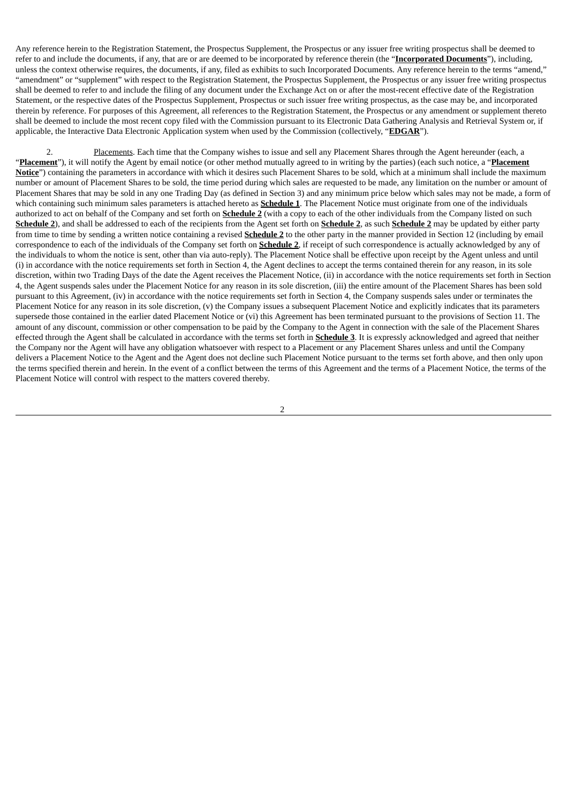Any reference herein to the Registration Statement, the Prospectus Supplement, the Prospectus or any issuer free writing prospectus shall be deemed to refer to and include the documents, if any, that are or are deemed to be incorporated by reference therein (the "**Incorporated Documents**"), including, unless the context otherwise requires, the documents, if any, filed as exhibits to such Incorporated Documents. Any reference herein to the terms "amend," "amendment" or "supplement" with respect to the Registration Statement, the Prospectus Supplement, the Prospectus or any issuer free writing prospectus shall be deemed to refer to and include the filing of any document under the Exchange Act on or after the most-recent effective date of the Registration Statement, or the respective dates of the Prospectus Supplement, Prospectus or such issuer free writing prospectus, as the case may be, and incorporated therein by reference. For purposes of this Agreement, all references to the Registration Statement, the Prospectus or any amendment or supplement thereto shall be deemed to include the most recent copy filed with the Commission pursuant to its Electronic Data Gathering Analysis and Retrieval System or, if applicable, the Interactive Data Electronic Application system when used by the Commission (collectively, "**EDGAR**").

2. Placements. Each time that the Company wishes to issue and sell any Placement Shares through the Agent hereunder (each, a "**Placement**"), it will notify the Agent by email notice (or other method mutually agreed to in writing by the parties) (each such notice, a "**Placement Notice**") containing the parameters in accordance with which it desires such Placement Shares to be sold, which at a minimum shall include the maximum number or amount of Placement Shares to be sold, the time period during which sales are requested to be made, any limitation on the number or amount of Placement Shares that may be sold in any one Trading Day (as defined in Section 3) and any minimum price below which sales may not be made, a form of which containing such minimum sales parameters is attached hereto as **Schedule 1**. The Placement Notice must originate from one of the individuals authorized to act on behalf of the Company and set forth on **Schedule 2** (with a copy to each of the other individuals from the Company listed on such **Schedule 2**), and shall be addressed to each of the recipients from the Agent set forth on **Schedule 2**, as such **Schedule 2** may be updated by either party from time to time by sending a written notice containing a revised **Schedule 2** to the other party in the manner provided in Section 12 (including by email correspondence to each of the individuals of the Company set forth on **Schedule 2**, if receipt of such correspondence is actually acknowledged by any of the individuals to whom the notice is sent, other than via auto-reply). The Placement Notice shall be effective upon receipt by the Agent unless and until (i) in accordance with the notice requirements set forth in Section 4, the Agent declines to accept the terms contained therein for any reason, in its sole discretion, within two Trading Days of the date the Agent receives the Placement Notice, (ii) in accordance with the notice requirements set forth in Section 4, the Agent suspends sales under the Placement Notice for any reason in its sole discretion, (iii) the entire amount of the Placement Shares has been sold pursuant to this Agreement, (iv) in accordance with the notice requirements set forth in Section 4, the Company suspends sales under or terminates the Placement Notice for any reason in its sole discretion, (v) the Company issues a subsequent Placement Notice and explicitly indicates that its parameters supersede those contained in the earlier dated Placement Notice or (vi) this Agreement has been terminated pursuant to the provisions of Section 11. The amount of any discount, commission or other compensation to be paid by the Company to the Agent in connection with the sale of the Placement Shares effected through the Agent shall be calculated in accordance with the terms set forth in **Schedule 3**. It is expressly acknowledged and agreed that neither the Company nor the Agent will have any obligation whatsoever with respect to a Placement or any Placement Shares unless and until the Company delivers a Placement Notice to the Agent and the Agent does not decline such Placement Notice pursuant to the terms set forth above, and then only upon the terms specified therein and herein. In the event of a conflict between the terms of this Agreement and the terms of a Placement Notice, the terms of the Placement Notice will control with respect to the matters covered thereby.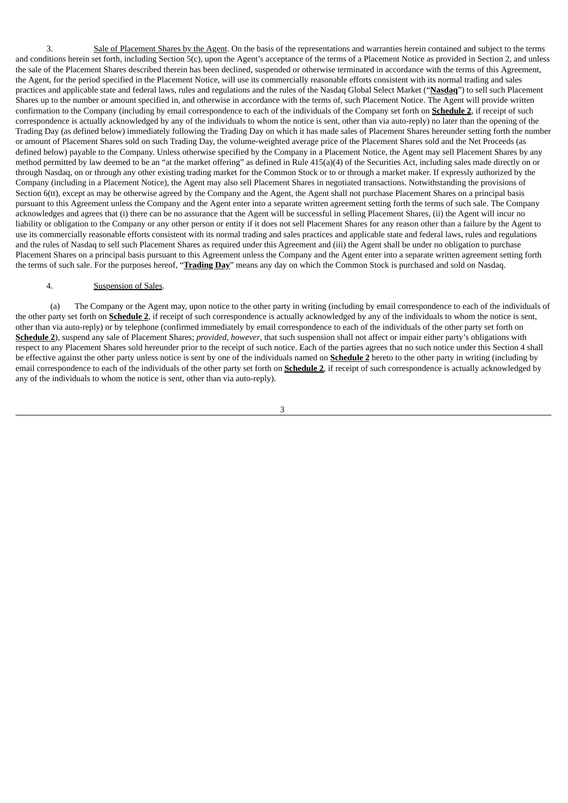3. Sale of Placement Shares by the Agent. On the basis of the representations and warranties herein contained and subject to the terms and conditions herein set forth, including Section 5(c), upon the Agent's acceptance of the terms of a Placement Notice as provided in Section 2, and unless the sale of the Placement Shares described therein has been declined, suspended or otherwise terminated in accordance with the terms of this Agreement, the Agent, for the period specified in the Placement Notice, will use its commercially reasonable efforts consistent with its normal trading and sales practices and applicable state and federal laws, rules and regulations and the rules of the Nasdaq Global Select Market ("**Nasdaq**") to sell such Placement Shares up to the number or amount specified in, and otherwise in accordance with the terms of, such Placement Notice. The Agent will provide written confirmation to the Company (including by email correspondence to each of the individuals of the Company set forth on **Schedule 2**, if receipt of such correspondence is actually acknowledged by any of the individuals to whom the notice is sent, other than via auto-reply) no later than the opening of the Trading Day (as defined below) immediately following the Trading Day on which it has made sales of Placement Shares hereunder setting forth the number or amount of Placement Shares sold on such Trading Day, the volume-weighted average price of the Placement Shares sold and the Net Proceeds (as defined below) payable to the Company. Unless otherwise specified by the Company in a Placement Notice, the Agent may sell Placement Shares by any method permitted by law deemed to be an "at the market offering" as defined in Rule 415(a)(4) of the Securities Act, including sales made directly on or through Nasdaq, on or through any other existing trading market for the Common Stock or to or through a market maker. If expressly authorized by the Company (including in a Placement Notice), the Agent may also sell Placement Shares in negotiated transactions. Notwithstanding the provisions of Section 6(tt), except as may be otherwise agreed by the Company and the Agent, the Agent shall not purchase Placement Shares on a principal basis pursuant to this Agreement unless the Company and the Agent enter into a separate written agreement setting forth the terms of such sale. The Company acknowledges and agrees that (i) there can be no assurance that the Agent will be successful in selling Placement Shares, (ii) the Agent will incur no liability or obligation to the Company or any other person or entity if it does not sell Placement Shares for any reason other than a failure by the Agent to use its commercially reasonable efforts consistent with its normal trading and sales practices and applicable state and federal laws, rules and regulations and the rules of Nasdaq to sell such Placement Shares as required under this Agreement and (iii) the Agent shall be under no obligation to purchase Placement Shares on a principal basis pursuant to this Agreement unless the Company and the Agent enter into a separate written agreement setting forth the terms of such sale. For the purposes hereof, "**Trading Day**" means any day on which the Common Stock is purchased and sold on Nasdaq.

## 4. Suspension of Sales.

(a) The Company or the Agent may, upon notice to the other party in writing (including by email correspondence to each of the individuals of the other party set forth on **Schedule 2**, if receipt of such correspondence is actually acknowledged by any of the individuals to whom the notice is sent, other than via auto-reply) or by telephone (confirmed immediately by email correspondence to each of the individuals of the other party set forth on **Schedule 2**), suspend any sale of Placement Shares; *provided*, *however*, that such suspension shall not affect or impair either party's obligations with respect to any Placement Shares sold hereunder prior to the receipt of such notice. Each of the parties agrees that no such notice under this Section 4 shall be effective against the other party unless notice is sent by one of the individuals named on **Schedule 2** hereto to the other party in writing (including by email correspondence to each of the individuals of the other party set forth on **Schedule 2**, if receipt of such correspondence is actually acknowledged by any of the individuals to whom the notice is sent, other than via auto-reply).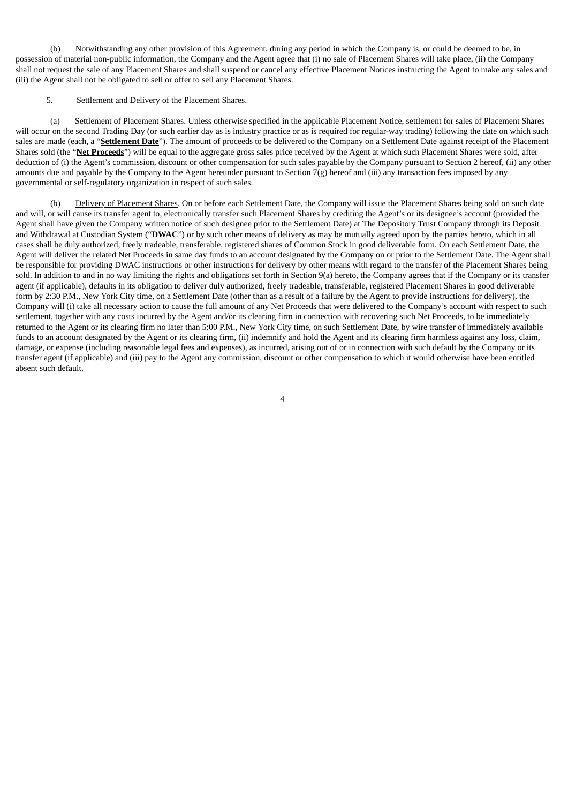(b) Notwithstanding any other provision of this Agreement, during any period in which the Company is, or could be deemed to be, in possession of material non-public information, the Company and the Agent agree that (i) no sale of Placement Shares will take place, (ii) the Company shall not request the sale of any Placement Shares and shall suspend or cancel any effective Placement Notices instructing the Agent to make any sales and (iii) the Agent shall not be obligated to sell or offer to sell any Placement Shares.

# 5. Settlement and Delivery of the Placement Shares.

(a) Settlement of Placement Shares. Unless otherwise specified in the applicable Placement Notice, settlement for sales of Placement Shares will occur on the second Trading Day (or such earlier day as is industry practice or as is required for regular-way trading) following the date on which such sales are made (each, a "**Settlement Date**"). The amount of proceeds to be delivered to the Company on a Settlement Date against receipt of the Placement Shares sold (the "**Net Proceeds**") will be equal to the aggregate gross sales price received by the Agent at which such Placement Shares were sold, after deduction of (i) the Agent's commission, discount or other compensation for such sales payable by the Company pursuant to Section 2 hereof, (ii) any other amounts due and payable by the Company to the Agent hereunder pursuant to Section  $7(g)$  hereof and (iii) any transaction fees imposed by any governmental or self-regulatory organization in respect of such sales.

Delivery of Placement Shares. On or before each Settlement Date, the Company will issue the Placement Shares being sold on such date and will, or will cause its transfer agent to, electronically transfer such Placement Shares by crediting the Agent's or its designee's account (provided the Agent shall have given the Company written notice of such designee prior to the Settlement Date) at The Depository Trust Company through its Deposit and Withdrawal at Custodian System ("**DWAC**") or by such other means of delivery as may be mutually agreed upon by the parties hereto, which in all cases shall be duly authorized, freely tradeable, transferable, registered shares of Common Stock in good deliverable form. On each Settlement Date, the Agent will deliver the related Net Proceeds in same day funds to an account designated by the Company on or prior to the Settlement Date. The Agent shall be responsible for providing DWAC instructions or other instructions for delivery by other means with regard to the transfer of the Placement Shares being sold. In addition to and in no way limiting the rights and obligations set forth in Section 9(a) hereto, the Company agrees that if the Company or its transfer agent (if applicable), defaults in its obligation to deliver duly authorized, freely tradeable, transferable, registered Placement Shares in good deliverable form by 2:30 P.M., New York City time, on a Settlement Date (other than as a result of a failure by the Agent to provide instructions for delivery), the Company will (i) take all necessary action to cause the full amount of any Net Proceeds that were delivered to the Company's account with respect to such settlement, together with any costs incurred by the Agent and/or its clearing firm in connection with recovering such Net Proceeds, to be immediately returned to the Agent or its clearing firm no later than 5:00 P.M., New York City time, on such Settlement Date, by wire transfer of immediately available funds to an account designated by the Agent or its clearing firm, (ii) indemnify and hold the Agent and its clearing firm harmless against any loss, claim, damage, or expense (including reasonable legal fees and expenses), as incurred, arising out of or in connection with such default by the Company or its transfer agent (if applicable) and (iii) pay to the Agent any commission, discount or other compensation to which it would otherwise have been entitled absent such default.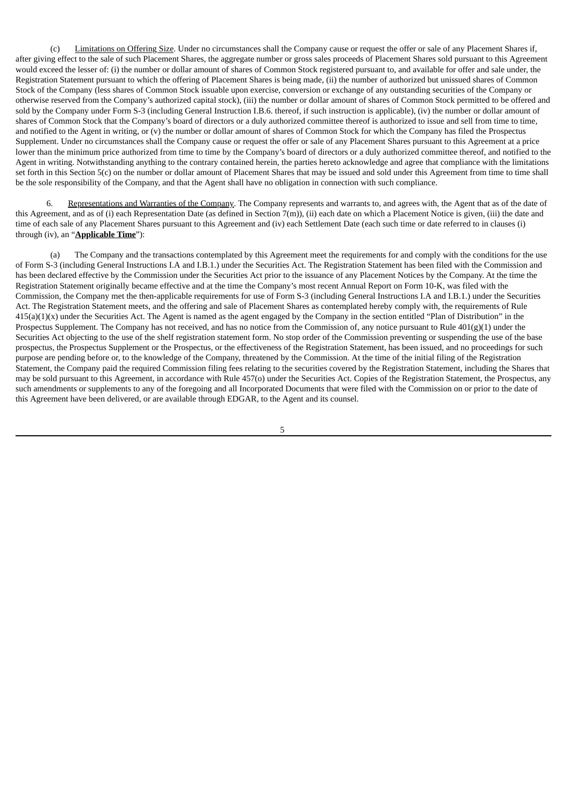(c) Limitations on Offering Size. Under no circumstances shall the Company cause or request the offer or sale of any Placement Shares if, after giving effect to the sale of such Placement Shares, the aggregate number or gross sales proceeds of Placement Shares sold pursuant to this Agreement would exceed the lesser of: (i) the number or dollar amount of shares of Common Stock registered pursuant to, and available for offer and sale under, the Registration Statement pursuant to which the offering of Placement Shares is being made, (ii) the number of authorized but unissued shares of Common Stock of the Company (less shares of Common Stock issuable upon exercise, conversion or exchange of any outstanding securities of the Company or otherwise reserved from the Company's authorized capital stock), (iii) the number or dollar amount of shares of Common Stock permitted to be offered and sold by the Company under Form S-3 (including General Instruction I.B.6. thereof, if such instruction is applicable), (iv) the number or dollar amount of shares of Common Stock that the Company's board of directors or a duly authorized committee thereof is authorized to issue and sell from time to time, and notified to the Agent in writing, or (v) the number or dollar amount of shares of Common Stock for which the Company has filed the Prospectus Supplement. Under no circumstances shall the Company cause or request the offer or sale of any Placement Shares pursuant to this Agreement at a price lower than the minimum price authorized from time to time by the Company's board of directors or a duly authorized committee thereof, and notified to the Agent in writing. Notwithstanding anything to the contrary contained herein, the parties hereto acknowledge and agree that compliance with the limitations set forth in this Section 5(c) on the number or dollar amount of Placement Shares that may be issued and sold under this Agreement from time to time shall be the sole responsibility of the Company, and that the Agent shall have no obligation in connection with such compliance.

6. Representations and Warranties of the Company. The Company represents and warrants to, and agrees with, the Agent that as of the date of this Agreement, and as of (i) each Representation Date (as defined in Section 7(m)), (ii) each date on which a Placement Notice is given, (iii) the date and time of each sale of any Placement Shares pursuant to this Agreement and (iv) each Settlement Date (each such time or date referred to in clauses (i) through (iv), an "**Applicable Time**"):

(a) The Company and the transactions contemplated by this Agreement meet the requirements for and comply with the conditions for the use of Form S-3 (including General Instructions I.A and I.B.1.) under the Securities Act. The Registration Statement has been filed with the Commission and has been declared effective by the Commission under the Securities Act prior to the issuance of any Placement Notices by the Company. At the time the Registration Statement originally became effective and at the time the Company's most recent Annual Report on Form 10-K, was filed with the Commission, the Company met the then-applicable requirements for use of Form S-3 (including General Instructions I.A and I.B.1.) under the Securities Act. The Registration Statement meets, and the offering and sale of Placement Shares as contemplated hereby comply with, the requirements of Rule  $415(a)(1)(x)$  under the Securities Act. The Agent is named as the agent engaged by the Company in the section entitled "Plan of Distribution" in the Prospectus Supplement. The Company has not received, and has no notice from the Commission of, any notice pursuant to Rule 401(g)(1) under the Securities Act objecting to the use of the shelf registration statement form. No stop order of the Commission preventing or suspending the use of the base prospectus, the Prospectus Supplement or the Prospectus, or the effectiveness of the Registration Statement, has been issued, and no proceedings for such purpose are pending before or, to the knowledge of the Company, threatened by the Commission. At the time of the initial filing of the Registration Statement, the Company paid the required Commission filing fees relating to the securities covered by the Registration Statement, including the Shares that may be sold pursuant to this Agreement, in accordance with Rule 457(o) under the Securities Act. Copies of the Registration Statement, the Prospectus, any such amendments or supplements to any of the foregoing and all Incorporated Documents that were filed with the Commission on or prior to the date of this Agreement have been delivered, or are available through EDGAR, to the Agent and its counsel.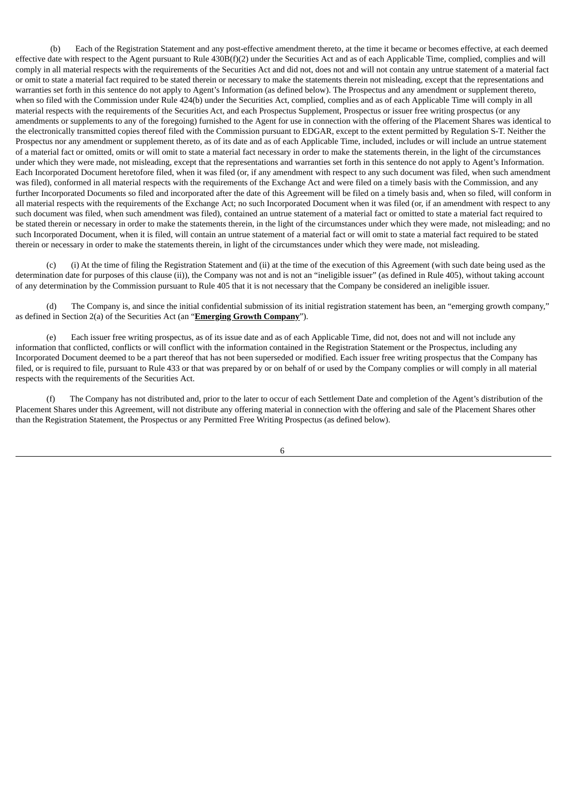(b) Each of the Registration Statement and any post-effective amendment thereto, at the time it became or becomes effective, at each deemed effective date with respect to the Agent pursuant to Rule 430B(f)(2) under the Securities Act and as of each Applicable Time, complied, complies and will comply in all material respects with the requirements of the Securities Act and did not, does not and will not contain any untrue statement of a material fact or omit to state a material fact required to be stated therein or necessary to make the statements therein not misleading, except that the representations and warranties set forth in this sentence do not apply to Agent's Information (as defined below). The Prospectus and any amendment or supplement thereto, when so filed with the Commission under Rule 424(b) under the Securities Act, complied, complies and as of each Applicable Time will comply in all material respects with the requirements of the Securities Act, and each Prospectus Supplement, Prospectus or issuer free writing prospectus (or any amendments or supplements to any of the foregoing) furnished to the Agent for use in connection with the offering of the Placement Shares was identical to the electronically transmitted copies thereof filed with the Commission pursuant to EDGAR, except to the extent permitted by Regulation S-T. Neither the Prospectus nor any amendment or supplement thereto, as of its date and as of each Applicable Time, included, includes or will include an untrue statement of a material fact or omitted, omits or will omit to state a material fact necessary in order to make the statements therein, in the light of the circumstances under which they were made, not misleading, except that the representations and warranties set forth in this sentence do not apply to Agent's Information. Each Incorporated Document heretofore filed, when it was filed (or, if any amendment with respect to any such document was filed, when such amendment was filed), conformed in all material respects with the requirements of the Exchange Act and were filed on a timely basis with the Commission, and any further Incorporated Documents so filed and incorporated after the date of this Agreement will be filed on a timely basis and, when so filed, will conform in all material respects with the requirements of the Exchange Act; no such Incorporated Document when it was filed (or, if an amendment with respect to any such document was filed, when such amendment was filed), contained an untrue statement of a material fact or omitted to state a material fact required to be stated therein or necessary in order to make the statements therein, in the light of the circumstances under which they were made, not misleading; and no such Incorporated Document, when it is filed, will contain an untrue statement of a material fact or will omit to state a material fact required to be stated therein or necessary in order to make the statements therein, in light of the circumstances under which they were made, not misleading.

(c) (i) At the time of filing the Registration Statement and (ii) at the time of the execution of this Agreement (with such date being used as the determination date for purposes of this clause (ii)), the Company was not and is not an "ineligible issuer" (as defined in Rule 405), without taking account of any determination by the Commission pursuant to Rule 405 that it is not necessary that the Company be considered an ineligible issuer.

(d) The Company is, and since the initial confidential submission of its initial registration statement has been, an "emerging growth company," as defined in Section 2(a) of the Securities Act (an "**Emerging Growth Company**").

(e) Each issuer free writing prospectus, as of its issue date and as of each Applicable Time, did not, does not and will not include any information that conflicted, conflicts or will conflict with the information contained in the Registration Statement or the Prospectus, including any Incorporated Document deemed to be a part thereof that has not been superseded or modified. Each issuer free writing prospectus that the Company has filed, or is required to file, pursuant to Rule 433 or that was prepared by or on behalf of or used by the Company complies or will comply in all material respects with the requirements of the Securities Act.

(f) The Company has not distributed and, prior to the later to occur of each Settlement Date and completion of the Agent's distribution of the Placement Shares under this Agreement, will not distribute any offering material in connection with the offering and sale of the Placement Shares other than the Registration Statement, the Prospectus or any Permitted Free Writing Prospectus (as defined below).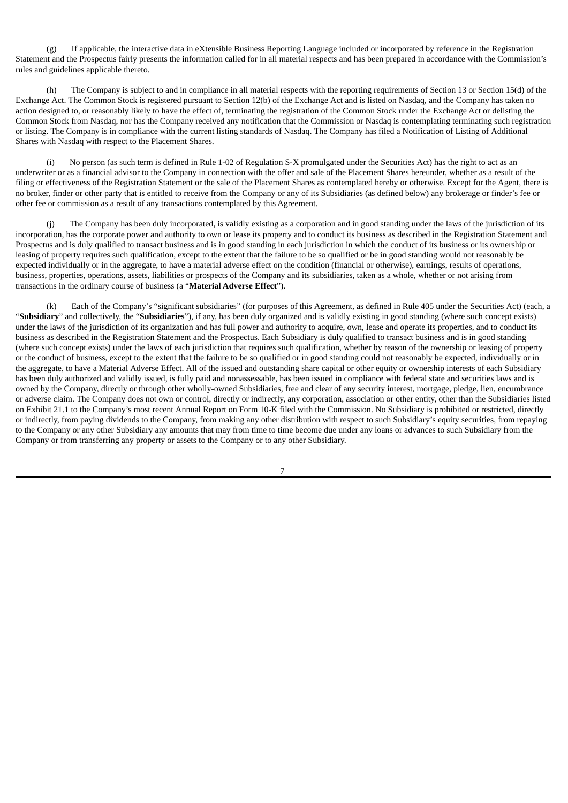(g) If applicable, the interactive data in eXtensible Business Reporting Language included or incorporated by reference in the Registration Statement and the Prospectus fairly presents the information called for in all material respects and has been prepared in accordance with the Commission's rules and guidelines applicable thereto.

(h) The Company is subject to and in compliance in all material respects with the reporting requirements of Section 13 or Section 15(d) of the Exchange Act. The Common Stock is registered pursuant to Section 12(b) of the Exchange Act and is listed on Nasdaq, and the Company has taken no action designed to, or reasonably likely to have the effect of, terminating the registration of the Common Stock under the Exchange Act or delisting the Common Stock from Nasdaq, nor has the Company received any notification that the Commission or Nasdaq is contemplating terminating such registration or listing. The Company is in compliance with the current listing standards of Nasdaq. The Company has filed a Notification of Listing of Additional Shares with Nasdaq with respect to the Placement Shares.

(i) No person (as such term is defined in Rule 1-02 of Regulation S-X promulgated under the Securities Act) has the right to act as an underwriter or as a financial advisor to the Company in connection with the offer and sale of the Placement Shares hereunder, whether as a result of the filing or effectiveness of the Registration Statement or the sale of the Placement Shares as contemplated hereby or otherwise. Except for the Agent, there is no broker, finder or other party that is entitled to receive from the Company or any of its Subsidiaries (as defined below) any brokerage or finder's fee or other fee or commission as a result of any transactions contemplated by this Agreement.

The Company has been duly incorporated, is validly existing as a corporation and in good standing under the laws of the jurisdiction of its incorporation, has the corporate power and authority to own or lease its property and to conduct its business as described in the Registration Statement and Prospectus and is duly qualified to transact business and is in good standing in each jurisdiction in which the conduct of its business or its ownership or leasing of property requires such qualification, except to the extent that the failure to be so qualified or be in good standing would not reasonably be expected individually or in the aggregate, to have a material adverse effect on the condition (financial or otherwise), earnings, results of operations, business, properties, operations, assets, liabilities or prospects of the Company and its subsidiaries, taken as a whole, whether or not arising from transactions in the ordinary course of business (a "**Material Adverse Effect**").

(k) Each of the Company's "significant subsidiaries" (for purposes of this Agreement, as defined in Rule 405 under the Securities Act) (each, a "**Subsidiary**" and collectively, the "**Subsidiaries**"), if any, has been duly organized and is validly existing in good standing (where such concept exists) under the laws of the jurisdiction of its organization and has full power and authority to acquire, own, lease and operate its properties, and to conduct its business as described in the Registration Statement and the Prospectus. Each Subsidiary is duly qualified to transact business and is in good standing (where such concept exists) under the laws of each jurisdiction that requires such qualification, whether by reason of the ownership or leasing of property or the conduct of business, except to the extent that the failure to be so qualified or in good standing could not reasonably be expected, individually or in the aggregate, to have a Material Adverse Effect. All of the issued and outstanding share capital or other equity or ownership interests of each Subsidiary has been duly authorized and validly issued, is fully paid and nonassessable, has been issued in compliance with federal state and securities laws and is owned by the Company, directly or through other wholly-owned Subsidiaries, free and clear of any security interest, mortgage, pledge, lien, encumbrance or adverse claim. The Company does not own or control, directly or indirectly, any corporation, association or other entity, other than the Subsidiaries listed on Exhibit 21.1 to the Company's most recent Annual Report on Form 10-K filed with the Commission. No Subsidiary is prohibited or restricted, directly or indirectly, from paying dividends to the Company, from making any other distribution with respect to such Subsidiary's equity securities, from repaying to the Company or any other Subsidiary any amounts that may from time to time become due under any loans or advances to such Subsidiary from the Company or from transferring any property or assets to the Company or to any other Subsidiary.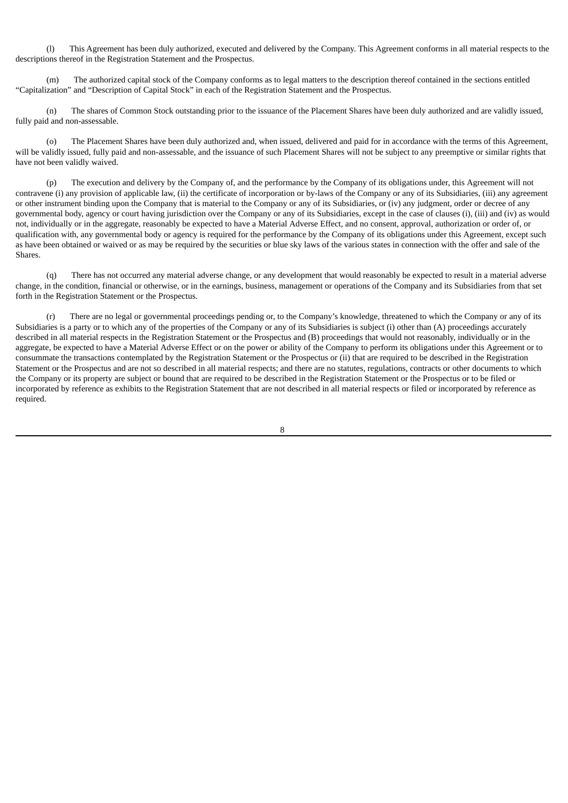(l) This Agreement has been duly authorized, executed and delivered by the Company. This Agreement conforms in all material respects to the descriptions thereof in the Registration Statement and the Prospectus.

(m) The authorized capital stock of the Company conforms as to legal matters to the description thereof contained in the sections entitled "Capitalization" and "Description of Capital Stock" in each of the Registration Statement and the Prospectus.

(n) The shares of Common Stock outstanding prior to the issuance of the Placement Shares have been duly authorized and are validly issued, fully paid and non-assessable.

(o) The Placement Shares have been duly authorized and, when issued, delivered and paid for in accordance with the terms of this Agreement, will be validly issued, fully paid and non-assessable, and the issuance of such Placement Shares will not be subject to any preemptive or similar rights that have not been validly waived.

(p) The execution and delivery by the Company of, and the performance by the Company of its obligations under, this Agreement will not contravene (i) any provision of applicable law, (ii) the certificate of incorporation or by-laws of the Company or any of its Subsidiaries, (iii) any agreement or other instrument binding upon the Company that is material to the Company or any of its Subsidiaries, or (iv) any judgment, order or decree of any governmental body, agency or court having jurisdiction over the Company or any of its Subsidiaries, except in the case of clauses (i), (iii) and (iv) as would not, individually or in the aggregate, reasonably be expected to have a Material Adverse Effect, and no consent, approval, authorization or order of, or qualification with, any governmental body or agency is required for the performance by the Company of its obligations under this Agreement, except such as have been obtained or waived or as may be required by the securities or blue sky laws of the various states in connection with the offer and sale of the Shares.

(q) There has not occurred any material adverse change, or any development that would reasonably be expected to result in a material adverse change, in the condition, financial or otherwise, or in the earnings, business, management or operations of the Company and its Subsidiaries from that set forth in the Registration Statement or the Prospectus.

(r) There are no legal or governmental proceedings pending or, to the Company's knowledge, threatened to which the Company or any of its Subsidiaries is a party or to which any of the properties of the Company or any of its Subsidiaries is subject (i) other than (A) proceedings accurately described in all material respects in the Registration Statement or the Prospectus and (B) proceedings that would not reasonably, individually or in the aggregate, be expected to have a Material Adverse Effect or on the power or ability of the Company to perform its obligations under this Agreement or to consummate the transactions contemplated by the Registration Statement or the Prospectus or (ii) that are required to be described in the Registration Statement or the Prospectus and are not so described in all material respects; and there are no statutes, regulations, contracts or other documents to which the Company or its property are subject or bound that are required to be described in the Registration Statement or the Prospectus or to be filed or incorporated by reference as exhibits to the Registration Statement that are not described in all material respects or filed or incorporated by reference as required.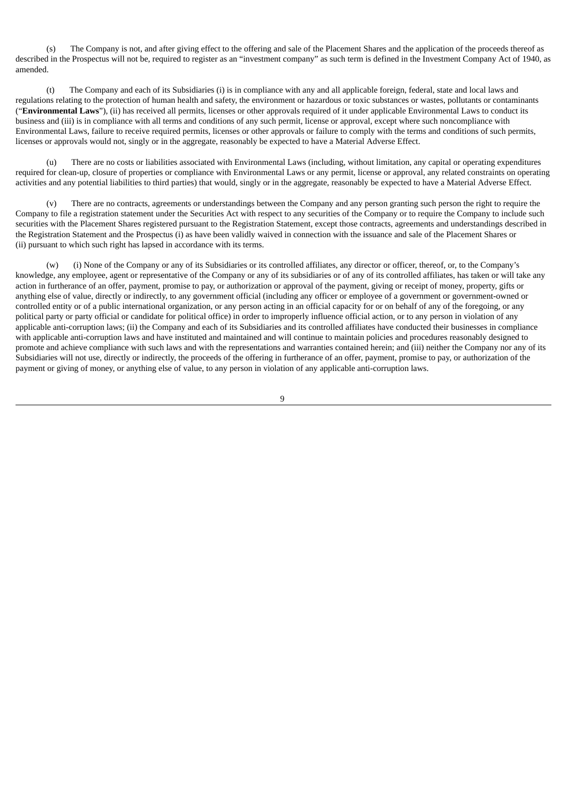(s) The Company is not, and after giving effect to the offering and sale of the Placement Shares and the application of the proceeds thereof as described in the Prospectus will not be, required to register as an "investment company" as such term is defined in the Investment Company Act of 1940, as amended.

(t) The Company and each of its Subsidiaries (i) is in compliance with any and all applicable foreign, federal, state and local laws and regulations relating to the protection of human health and safety, the environment or hazardous or toxic substances or wastes, pollutants or contaminants ("**Environmental Laws**"), (ii) has received all permits, licenses or other approvals required of it under applicable Environmental Laws to conduct its business and (iii) is in compliance with all terms and conditions of any such permit, license or approval, except where such noncompliance with Environmental Laws, failure to receive required permits, licenses or other approvals or failure to comply with the terms and conditions of such permits, licenses or approvals would not, singly or in the aggregate, reasonably be expected to have a Material Adverse Effect.

(u) There are no costs or liabilities associated with Environmental Laws (including, without limitation, any capital or operating expenditures required for clean-up, closure of properties or compliance with Environmental Laws or any permit, license or approval, any related constraints on operating activities and any potential liabilities to third parties) that would, singly or in the aggregate, reasonably be expected to have a Material Adverse Effect.

There are no contracts, agreements or understandings between the Company and any person granting such person the right to require the Company to file a registration statement under the Securities Act with respect to any securities of the Company or to require the Company to include such securities with the Placement Shares registered pursuant to the Registration Statement, except those contracts, agreements and understandings described in the Registration Statement and the Prospectus (i) as have been validly waived in connection with the issuance and sale of the Placement Shares or (ii) pursuant to which such right has lapsed in accordance with its terms.

(w) (i) None of the Company or any of its Subsidiaries or its controlled affiliates, any director or officer, thereof, or, to the Company's knowledge, any employee, agent or representative of the Company or any of its subsidiaries or of any of its controlled affiliates, has taken or will take any action in furtherance of an offer, payment, promise to pay, or authorization or approval of the payment, giving or receipt of money, property, gifts or anything else of value, directly or indirectly, to any government official (including any officer or employee of a government or government-owned or controlled entity or of a public international organization, or any person acting in an official capacity for or on behalf of any of the foregoing, or any political party or party official or candidate for political office) in order to improperly influence official action, or to any person in violation of any applicable anti-corruption laws; (ii) the Company and each of its Subsidiaries and its controlled affiliates have conducted their businesses in compliance with applicable anti-corruption laws and have instituted and maintained and will continue to maintain policies and procedures reasonably designed to promote and achieve compliance with such laws and with the representations and warranties contained herein; and (iii) neither the Company nor any of its Subsidiaries will not use, directly or indirectly, the proceeds of the offering in furtherance of an offer, payment, promise to pay, or authorization of the payment or giving of money, or anything else of value, to any person in violation of any applicable anti-corruption laws.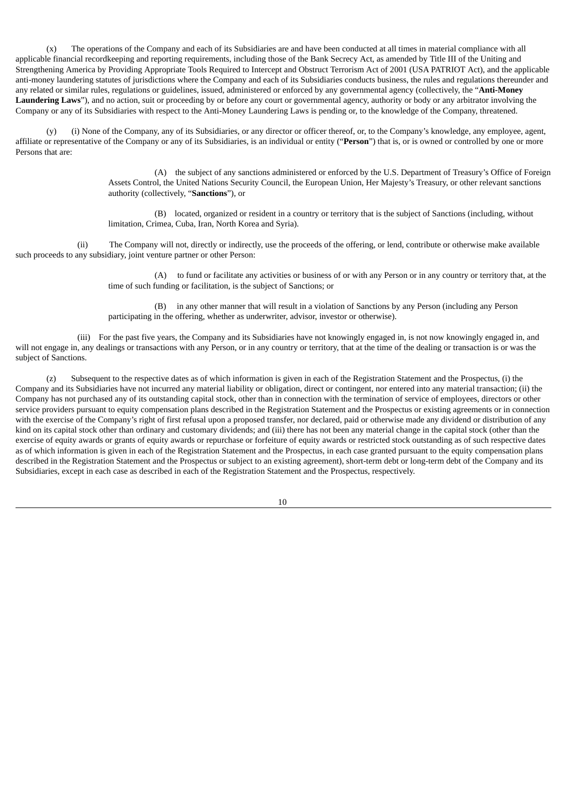(x) The operations of the Company and each of its Subsidiaries are and have been conducted at all times in material compliance with all applicable financial recordkeeping and reporting requirements, including those of the Bank Secrecy Act, as amended by Title III of the Uniting and Strengthening America by Providing Appropriate Tools Required to Intercept and Obstruct Terrorism Act of 2001 (USA PATRIOT Act), and the applicable anti-money laundering statutes of jurisdictions where the Company and each of its Subsidiaries conducts business, the rules and regulations thereunder and any related or similar rules, regulations or guidelines, issued, administered or enforced by any governmental agency (collectively, the "**Anti-Money Laundering Laws**"), and no action, suit or proceeding by or before any court or governmental agency, authority or body or any arbitrator involving the Company or any of its Subsidiaries with respect to the Anti-Money Laundering Laws is pending or, to the knowledge of the Company, threatened.

(y) (i) None of the Company, any of its Subsidiaries, or any director or officer thereof, or, to the Company's knowledge, any employee, agent, affiliate or representative of the Company or any of its Subsidiaries, is an individual or entity ("**Person**") that is, or is owned or controlled by one or more Persons that are:

> (A) the subject of any sanctions administered or enforced by the U.S. Department of Treasury's Office of Foreign Assets Control, the United Nations Security Council, the European Union, Her Majesty's Treasury, or other relevant sanctions authority (collectively, "**Sanctions**"), or

(B) located, organized or resident in a country or territory that is the subject of Sanctions (including, without limitation, Crimea, Cuba, Iran, North Korea and Syria).

(ii) The Company will not, directly or indirectly, use the proceeds of the offering, or lend, contribute or otherwise make available such proceeds to any subsidiary, joint venture partner or other Person:

> (A) to fund or facilitate any activities or business of or with any Person or in any country or territory that, at the time of such funding or facilitation, is the subject of Sanctions; or

(B) in any other manner that will result in a violation of Sanctions by any Person (including any Person participating in the offering, whether as underwriter, advisor, investor or otherwise).

(iii) For the past five years, the Company and its Subsidiaries have not knowingly engaged in, is not now knowingly engaged in, and will not engage in, any dealings or transactions with any Person, or in any country or territory, that at the time of the dealing or transaction is or was the subject of Sanctions.

(z) Subsequent to the respective dates as of which information is given in each of the Registration Statement and the Prospectus, (i) the Company and its Subsidiaries have not incurred any material liability or obligation, direct or contingent, nor entered into any material transaction; (ii) the Company has not purchased any of its outstanding capital stock, other than in connection with the termination of service of employees, directors or other service providers pursuant to equity compensation plans described in the Registration Statement and the Prospectus or existing agreements or in connection with the exercise of the Company's right of first refusal upon a proposed transfer, nor declared, paid or otherwise made any dividend or distribution of any kind on its capital stock other than ordinary and customary dividends; and (iii) there has not been any material change in the capital stock (other than the exercise of equity awards or grants of equity awards or repurchase or forfeiture of equity awards or restricted stock outstanding as of such respective dates as of which information is given in each of the Registration Statement and the Prospectus, in each case granted pursuant to the equity compensation plans described in the Registration Statement and the Prospectus or subject to an existing agreement), short-term debt or long-term debt of the Company and its Subsidiaries, except in each case as described in each of the Registration Statement and the Prospectus, respectively.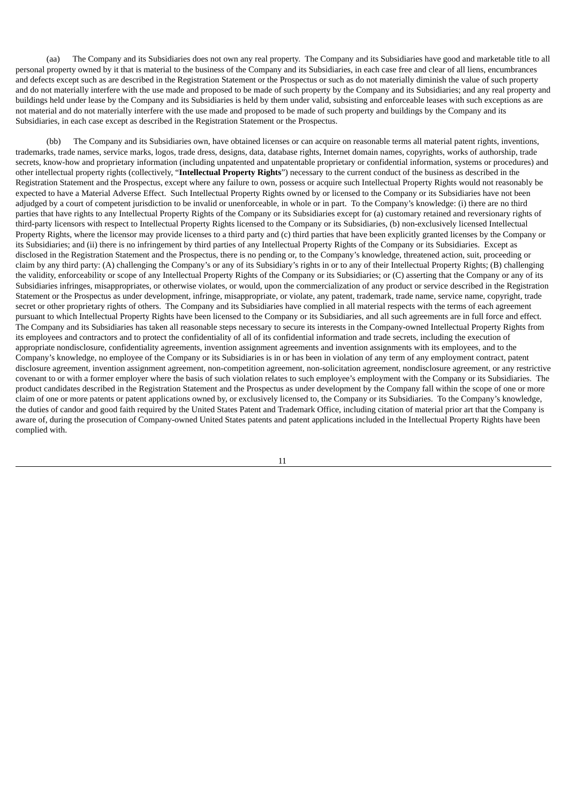(aa) The Company and its Subsidiaries does not own any real property. The Company and its Subsidiaries have good and marketable title to all personal property owned by it that is material to the business of the Company and its Subsidiaries, in each case free and clear of all liens, encumbrances and defects except such as are described in the Registration Statement or the Prospectus or such as do not materially diminish the value of such property and do not materially interfere with the use made and proposed to be made of such property by the Company and its Subsidiaries; and any real property and buildings held under lease by the Company and its Subsidiaries is held by them under valid, subsisting and enforceable leases with such exceptions as are not material and do not materially interfere with the use made and proposed to be made of such property and buildings by the Company and its Subsidiaries, in each case except as described in the Registration Statement or the Prospectus.

(bb) The Company and its Subsidiaries own, have obtained licenses or can acquire on reasonable terms all material patent rights, inventions, trademarks, trade names, service marks, logos, trade dress, designs, data, database rights, Internet domain names, copyrights, works of authorship, trade secrets, know-how and proprietary information (including unpatented and unpatentable proprietary or confidential information, systems or procedures) and other intellectual property rights (collectively, "**Intellectual Property Rights**") necessary to the current conduct of the business as described in the Registration Statement and the Prospectus, except where any failure to own, possess or acquire such Intellectual Property Rights would not reasonably be expected to have a Material Adverse Effect. Such Intellectual Property Rights owned by or licensed to the Company or its Subsidiaries have not been adjudged by a court of competent jurisdiction to be invalid or unenforceable, in whole or in part. To the Company's knowledge: (i) there are no third parties that have rights to any Intellectual Property Rights of the Company or its Subsidiaries except for (a) customary retained and reversionary rights of third-party licensors with respect to Intellectual Property Rights licensed to the Company or its Subsidiaries, (b) non-exclusively licensed Intellectual Property Rights, where the licensor may provide licenses to a third party and (c) third parties that have been explicitly granted licenses by the Company or its Subsidiaries; and (ii) there is no infringement by third parties of any Intellectual Property Rights of the Company or its Subsidiaries. Except as disclosed in the Registration Statement and the Prospectus, there is no pending or, to the Company's knowledge, threatened action, suit, proceeding or claim by any third party: (A) challenging the Company's or any of its Subsidiary's rights in or to any of their Intellectual Property Rights; (B) challenging the validity, enforceability or scope of any Intellectual Property Rights of the Company or its Subsidiaries; or (C) asserting that the Company or any of its Subsidiaries infringes, misappropriates, or otherwise violates, or would, upon the commercialization of any product or service described in the Registration Statement or the Prospectus as under development, infringe, misappropriate, or violate, any patent, trademark, trade name, service name, copyright, trade secret or other proprietary rights of others. The Company and its Subsidiaries have complied in all material respects with the terms of each agreement pursuant to which Intellectual Property Rights have been licensed to the Company or its Subsidiaries, and all such agreements are in full force and effect. The Company and its Subsidiaries has taken all reasonable steps necessary to secure its interests in the Company-owned Intellectual Property Rights from its employees and contractors and to protect the confidentiality of all of its confidential information and trade secrets, including the execution of appropriate nondisclosure, confidentiality agreements, invention assignment agreements and invention assignments with its employees, and to the Company's knowledge, no employee of the Company or its Subsidiaries is in or has been in violation of any term of any employment contract, patent disclosure agreement, invention assignment agreement, non-competition agreement, non-solicitation agreement, nondisclosure agreement, or any restrictive covenant to or with a former employer where the basis of such violation relates to such employee's employment with the Company or its Subsidiaries. The product candidates described in the Registration Statement and the Prospectus as under development by the Company fall within the scope of one or more claim of one or more patents or patent applications owned by, or exclusively licensed to, the Company or its Subsidiaries. To the Company's knowledge, the duties of candor and good faith required by the United States Patent and Trademark Office, including citation of material prior art that the Company is aware of, during the prosecution of Company-owned United States patents and patent applications included in the Intellectual Property Rights have been complied with.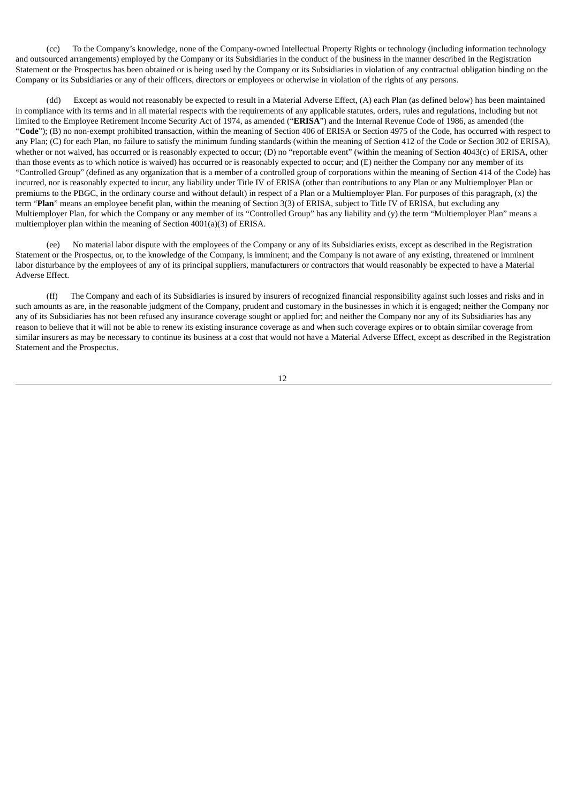(cc) To the Company's knowledge, none of the Company-owned Intellectual Property Rights or technology (including information technology and outsourced arrangements) employed by the Company or its Subsidiaries in the conduct of the business in the manner described in the Registration Statement or the Prospectus has been obtained or is being used by the Company or its Subsidiaries in violation of any contractual obligation binding on the Company or its Subsidiaries or any of their officers, directors or employees or otherwise in violation of the rights of any persons.

(dd) Except as would not reasonably be expected to result in a Material Adverse Effect, (A) each Plan (as defined below) has been maintained in compliance with its terms and in all material respects with the requirements of any applicable statutes, orders, rules and regulations, including but not limited to the Employee Retirement Income Security Act of 1974, as amended ("**ERISA**") and the Internal Revenue Code of 1986, as amended (the "**Code**"); (B) no non-exempt prohibited transaction, within the meaning of Section 406 of ERISA or Section 4975 of the Code, has occurred with respect to any Plan; (C) for each Plan, no failure to satisfy the minimum funding standards (within the meaning of Section 412 of the Code or Section 302 of ERISA), whether or not waived, has occurred or is reasonably expected to occur; (D) no "reportable event" (within the meaning of Section 4043(c) of ERISA, other than those events as to which notice is waived) has occurred or is reasonably expected to occur; and (E) neither the Company nor any member of its "Controlled Group" (defined as any organization that is a member of a controlled group of corporations within the meaning of Section 414 of the Code) has incurred, nor is reasonably expected to incur, any liability under Title IV of ERISA (other than contributions to any Plan or any Multiemployer Plan or premiums to the PBGC, in the ordinary course and without default) in respect of a Plan or a Multiemployer Plan. For purposes of this paragraph, (x) the term "**Plan**" means an employee benefit plan, within the meaning of Section 3(3) of ERISA, subject to Title IV of ERISA, but excluding any Multiemployer Plan, for which the Company or any member of its "Controlled Group" has any liability and (y) the term "Multiemployer Plan" means a multiemployer plan within the meaning of Section 4001(a)(3) of ERISA.

(ee) No material labor dispute with the employees of the Company or any of its Subsidiaries exists, except as described in the Registration Statement or the Prospectus, or, to the knowledge of the Company, is imminent; and the Company is not aware of any existing, threatened or imminent labor disturbance by the employees of any of its principal suppliers, manufacturers or contractors that would reasonably be expected to have a Material Adverse Effect.

(ff) The Company and each of its Subsidiaries is insured by insurers of recognized financial responsibility against such losses and risks and in such amounts as are, in the reasonable judgment of the Company, prudent and customary in the businesses in which it is engaged; neither the Company nor any of its Subsidiaries has not been refused any insurance coverage sought or applied for; and neither the Company nor any of its Subsidiaries has any reason to believe that it will not be able to renew its existing insurance coverage as and when such coverage expires or to obtain similar coverage from similar insurers as may be necessary to continue its business at a cost that would not have a Material Adverse Effect, except as described in the Registration Statement and the Prospectus.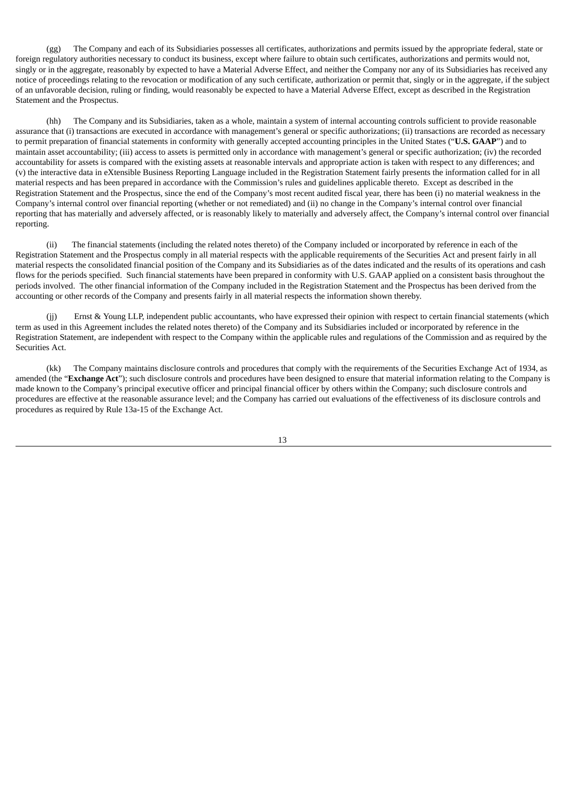(gg) The Company and each of its Subsidiaries possesses all certificates, authorizations and permits issued by the appropriate federal, state or foreign regulatory authorities necessary to conduct its business, except where failure to obtain such certificates, authorizations and permits would not, singly or in the aggregate, reasonably by expected to have a Material Adverse Effect, and neither the Company nor any of its Subsidiaries has received any notice of proceedings relating to the revocation or modification of any such certificate, authorization or permit that, singly or in the aggregate, if the subject of an unfavorable decision, ruling or finding, would reasonably be expected to have a Material Adverse Effect, except as described in the Registration Statement and the Prospectus.

(hh) The Company and its Subsidiaries, taken as a whole, maintain a system of internal accounting controls sufficient to provide reasonable assurance that (i) transactions are executed in accordance with management's general or specific authorizations; (ii) transactions are recorded as necessary to permit preparation of financial statements in conformity with generally accepted accounting principles in the United States ("**U.S. GAAP**") and to maintain asset accountability; (iii) access to assets is permitted only in accordance with management's general or specific authorization; (iv) the recorded accountability for assets is compared with the existing assets at reasonable intervals and appropriate action is taken with respect to any differences; and (v) the interactive data in eXtensible Business Reporting Language included in the Registration Statement fairly presents the information called for in all material respects and has been prepared in accordance with the Commission's rules and guidelines applicable thereto. Except as described in the Registration Statement and the Prospectus, since the end of the Company's most recent audited fiscal year, there has been (i) no material weakness in the Company's internal control over financial reporting (whether or not remediated) and (ii) no change in the Company's internal control over financial reporting that has materially and adversely affected, or is reasonably likely to materially and adversely affect, the Company's internal control over financial reporting.

(ii) The financial statements (including the related notes thereto) of the Company included or incorporated by reference in each of the Registration Statement and the Prospectus comply in all material respects with the applicable requirements of the Securities Act and present fairly in all material respects the consolidated financial position of the Company and its Subsidiaries as of the dates indicated and the results of its operations and cash flows for the periods specified. Such financial statements have been prepared in conformity with U.S. GAAP applied on a consistent basis throughout the periods involved. The other financial information of the Company included in the Registration Statement and the Prospectus has been derived from the accounting or other records of the Company and presents fairly in all material respects the information shown thereby.

Ernst & Young LLP, independent public accountants, who have expressed their opinion with respect to certain financial statements (which term as used in this Agreement includes the related notes thereto) of the Company and its Subsidiaries included or incorporated by reference in the Registration Statement, are independent with respect to the Company within the applicable rules and regulations of the Commission and as required by the Securities Act.

(kk) The Company maintains disclosure controls and procedures that comply with the requirements of the Securities Exchange Act of 1934, as amended (the "**Exchange Act**"); such disclosure controls and procedures have been designed to ensure that material information relating to the Company is made known to the Company's principal executive officer and principal financial officer by others within the Company; such disclosure controls and procedures are effective at the reasonable assurance level; and the Company has carried out evaluations of the effectiveness of its disclosure controls and procedures as required by Rule 13a-15 of the Exchange Act.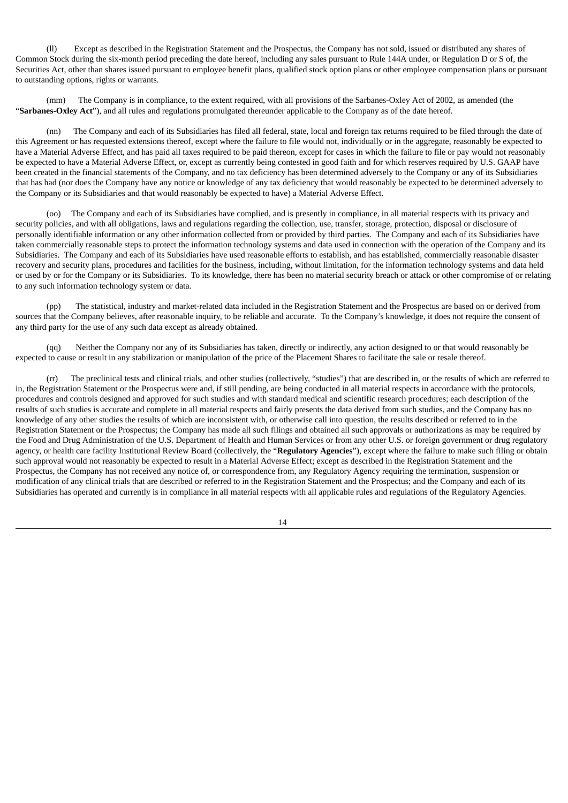(ll) Except as described in the Registration Statement and the Prospectus, the Company has not sold, issued or distributed any shares of Common Stock during the six-month period preceding the date hereof, including any sales pursuant to Rule 144A under, or Regulation D or S of, the Securities Act, other than shares issued pursuant to employee benefit plans, qualified stock option plans or other employee compensation plans or pursuant to outstanding options, rights or warrants.

(mm) The Company is in compliance, to the extent required, with all provisions of the Sarbanes-Oxley Act of 2002, as amended (the "**Sarbanes-Oxley Act**"), and all rules and regulations promulgated thereunder applicable to the Company as of the date hereof.

(nn) The Company and each of its Subsidiaries has filed all federal, state, local and foreign tax returns required to be filed through the date of this Agreement or has requested extensions thereof, except where the failure to file would not, individually or in the aggregate, reasonably be expected to have a Material Adverse Effect, and has paid all taxes required to be paid thereon, except for cases in which the failure to file or pay would not reasonably be expected to have a Material Adverse Effect, or, except as currently being contested in good faith and for which reserves required by U.S. GAAP have been created in the financial statements of the Company, and no tax deficiency has been determined adversely to the Company or any of its Subsidiaries that has had (nor does the Company have any notice or knowledge of any tax deficiency that would reasonably be expected to be determined adversely to the Company or its Subsidiaries and that would reasonably be expected to have) a Material Adverse Effect.

(oo) The Company and each of its Subsidiaries have complied, and is presently in compliance, in all material respects with its privacy and security policies, and with all obligations, laws and regulations regarding the collection, use, transfer, storage, protection, disposal or disclosure of personally identifiable information or any other information collected from or provided by third parties. The Company and each of its Subsidiaries have taken commercially reasonable steps to protect the information technology systems and data used in connection with the operation of the Company and its Subsidiaries. The Company and each of its Subsidiaries have used reasonable efforts to establish, and has established, commercially reasonable disaster recovery and security plans, procedures and facilities for the business, including, without limitation, for the information technology systems and data held or used by or for the Company or its Subsidiaries. To its knowledge, there has been no material security breach or attack or other compromise of or relating to any such information technology system or data.

(pp) The statistical, industry and market-related data included in the Registration Statement and the Prospectus are based on or derived from sources that the Company believes, after reasonable inquiry, to be reliable and accurate. To the Company's knowledge, it does not require the consent of any third party for the use of any such data except as already obtained.

(qq) Neither the Company nor any of its Subsidiaries has taken, directly or indirectly, any action designed to or that would reasonably be expected to cause or result in any stabilization or manipulation of the price of the Placement Shares to facilitate the sale or resale thereof.

The preclinical tests and clinical trials, and other studies (collectively, "studies") that are described in, or the results of which are referred to in, the Registration Statement or the Prospectus were and, if still pending, are being conducted in all material respects in accordance with the protocols, procedures and controls designed and approved for such studies and with standard medical and scientific research procedures; each description of the results of such studies is accurate and complete in all material respects and fairly presents the data derived from such studies, and the Company has no knowledge of any other studies the results of which are inconsistent with, or otherwise call into question, the results described or referred to in the Registration Statement or the Prospectus; the Company has made all such filings and obtained all such approvals or authorizations as may be required by the Food and Drug Administration of the U.S. Department of Health and Human Services or from any other U.S. or foreign government or drug regulatory agency, or health care facility Institutional Review Board (collectively, the "**Regulatory Agencies**"), except where the failure to make such filing or obtain such approval would not reasonably be expected to result in a Material Adverse Effect; except as described in the Registration Statement and the Prospectus, the Company has not received any notice of, or correspondence from, any Regulatory Agency requiring the termination, suspension or modification of any clinical trials that are described or referred to in the Registration Statement and the Prospectus; and the Company and each of its Subsidiaries has operated and currently is in compliance in all material respects with all applicable rules and regulations of the Regulatory Agencies.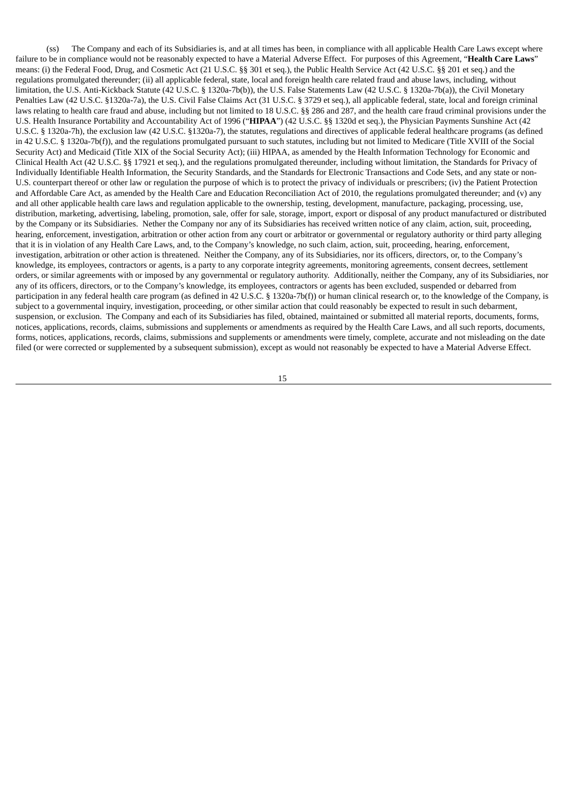(ss) The Company and each of its Subsidiaries is, and at all times has been, in compliance with all applicable Health Care Laws except where failure to be in compliance would not be reasonably expected to have a Material Adverse Effect. For purposes of this Agreement, "**Health Care Laws**" means: (i) the Federal Food, Drug, and Cosmetic Act (21 U.S.C. §§ 301 et seq.), the Public Health Service Act (42 U.S.C. §§ 201 et seq.) and the regulations promulgated thereunder; (ii) all applicable federal, state, local and foreign health care related fraud and abuse laws, including, without limitation, the U.S. Anti-Kickback Statute (42 U.S.C. § 1320a-7b(b)), the U.S. False Statements Law (42 U.S.C. § 1320a-7b(a)), the Civil Monetary Penalties Law (42 U.S.C. §1320a-7a), the U.S. Civil False Claims Act (31 U.S.C. § 3729 et seq.), all applicable federal, state, local and foreign criminal laws relating to health care fraud and abuse, including but not limited to 18 U.S.C. §§ 286 and 287, and the health care fraud criminal provisions under the U.S. Health Insurance Portability and Accountability Act of 1996 ("**HIPAA**") (42 U.S.C. §§ 1320d et seq.), the Physician Payments Sunshine Act (42 U.S.C. § 1320a-7h), the exclusion law (42 U.S.C. §1320a-7), the statutes, regulations and directives of applicable federal healthcare programs (as defined in 42 U.S.C. § 1320a-7b(f)), and the regulations promulgated pursuant to such statutes, including but not limited to Medicare (Title XVIII of the Social Security Act) and Medicaid (Title XIX of the Social Security Act); (iii) HIPAA, as amended by the Health Information Technology for Economic and Clinical Health Act (42 U.S.C. §§ 17921 et seq.), and the regulations promulgated thereunder, including without limitation, the Standards for Privacy of Individually Identifiable Health Information, the Security Standards, and the Standards for Electronic Transactions and Code Sets, and any state or non-U.S. counterpart thereof or other law or regulation the purpose of which is to protect the privacy of individuals or prescribers; (iv) the Patient Protection and Affordable Care Act, as amended by the Health Care and Education Reconciliation Act of 2010, the regulations promulgated thereunder; and (v) any and all other applicable health care laws and regulation applicable to the ownership, testing, development, manufacture, packaging, processing, use, distribution, marketing, advertising, labeling, promotion, sale, offer for sale, storage, import, export or disposal of any product manufactured or distributed by the Company or its Subsidiaries. Nether the Company nor any of its Subsidiaries has received written notice of any claim, action, suit, proceeding, hearing, enforcement, investigation, arbitration or other action from any court or arbitrator or governmental or regulatory authority or third party alleging that it is in violation of any Health Care Laws, and, to the Company's knowledge, no such claim, action, suit, proceeding, hearing, enforcement, investigation, arbitration or other action is threatened. Neither the Company, any of its Subsidiaries, nor its officers, directors, or, to the Company's knowledge, its employees, contractors or agents, is a party to any corporate integrity agreements, monitoring agreements, consent decrees, settlement orders, or similar agreements with or imposed by any governmental or regulatory authority. Additionally, neither the Company, any of its Subsidiaries, nor any of its officers, directors, or to the Company's knowledge, its employees, contractors or agents has been excluded, suspended or debarred from participation in any federal health care program (as defined in 42 U.S.C. § 1320a-7b(f)) or human clinical research or, to the knowledge of the Company, is subject to a governmental inquiry, investigation, proceeding, or other similar action that could reasonably be expected to result in such debarment, suspension, or exclusion. The Company and each of its Subsidiaries has filed, obtained, maintained or submitted all material reports, documents, forms, notices, applications, records, claims, submissions and supplements or amendments as required by the Health Care Laws, and all such reports, documents, forms, notices, applications, records, claims, submissions and supplements or amendments were timely, complete, accurate and not misleading on the date filed (or were corrected or supplemented by a subsequent submission), except as would not reasonably be expected to have a Material Adverse Effect.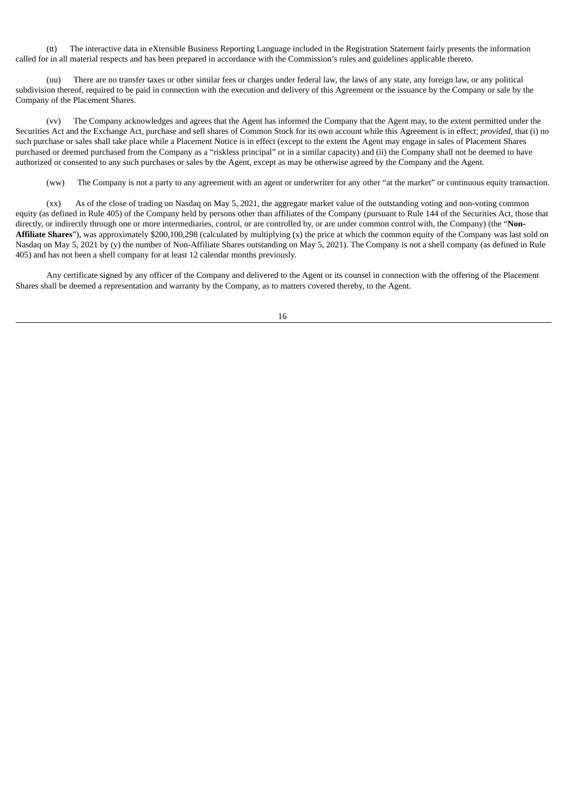(tt) The interactive data in eXtensible Business Reporting Language included in the Registration Statement fairly presents the information called for in all material respects and has been prepared in accordance with the Commission's rules and guidelines applicable thereto.

(uu) There are no transfer taxes or other similar fees or charges under federal law, the laws of any state, any foreign law, or any political subdivision thereof, required to be paid in connection with the execution and delivery of this Agreement or the issuance by the Company or sale by the Company of the Placement Shares.

(vv) The Company acknowledges and agrees that the Agent has informed the Company that the Agent may, to the extent permitted under the Securities Act and the Exchange Act, purchase and sell shares of Common Stock for its own account while this Agreement is in effect; *provided*, that (i) no such purchase or sales shall take place while a Placement Notice is in effect (except to the extent the Agent may engage in sales of Placement Shares purchased or deemed purchased from the Company as a "riskless principal" or in a similar capacity) and (ii) the Company shall not be deemed to have authorized or consented to any such purchases or sales by the Agent, except as may be otherwise agreed by the Company and the Agent.

(ww) The Company is not a party to any agreement with an agent or underwriter for any other "at the market" or continuous equity transaction.

(xx) As of the close of trading on Nasdaq on May 5, 2021, the aggregate market value of the outstanding voting and non-voting common equity (as defined in Rule 405) of the Company held by persons other than affiliates of the Company (pursuant to Rule 144 of the Securities Act, those that directly, or indirectly through one or more intermediaries, control, or are controlled by, or are under common control with, the Company) (the "**Non-Affiliate Shares**"), was approximately \$200,100,298 (calculated by multiplying (x) the price at which the common equity of the Company was last sold on Nasdaq on May 5, 2021 by (y) the number of Non-Affiliate Shares outstanding on May 5, 2021). The Company is not a shell company (as defined in Rule 405) and has not been a shell company for at least 12 calendar months previously.

Any certificate signed by any officer of the Company and delivered to the Agent or its counsel in connection with the offering of the Placement Shares shall be deemed a representation and warranty by the Company, as to matters covered thereby, to the Agent.

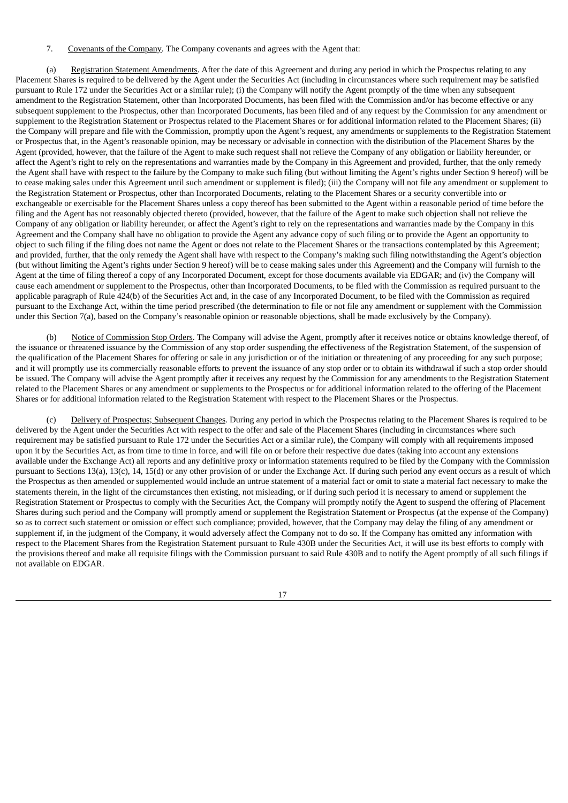#### 7. Covenants of the Company. The Company covenants and agrees with the Agent that:

(a) Registration Statement Amendments. After the date of this Agreement and during any period in which the Prospectus relating to any Placement Shares is required to be delivered by the Agent under the Securities Act (including in circumstances where such requirement may be satisfied pursuant to Rule 172 under the Securities Act or a similar rule); (i) the Company will notify the Agent promptly of the time when any subsequent amendment to the Registration Statement, other than Incorporated Documents, has been filed with the Commission and/or has become effective or any subsequent supplement to the Prospectus, other than Incorporated Documents, has been filed and of any request by the Commission for any amendment or supplement to the Registration Statement or Prospectus related to the Placement Shares or for additional information related to the Placement Shares; (ii) the Company will prepare and file with the Commission, promptly upon the Agent's request, any amendments or supplements to the Registration Statement or Prospectus that, in the Agent's reasonable opinion, may be necessary or advisable in connection with the distribution of the Placement Shares by the Agent (provided, however, that the failure of the Agent to make such request shall not relieve the Company of any obligation or liability hereunder, or affect the Agent's right to rely on the representations and warranties made by the Company in this Agreement and provided, further, that the only remedy the Agent shall have with respect to the failure by the Company to make such filing (but without limiting the Agent's rights under Section 9 hereof) will be to cease making sales under this Agreement until such amendment or supplement is filed); (iii) the Company will not file any amendment or supplement to the Registration Statement or Prospectus, other than Incorporated Documents, relating to the Placement Shares or a security convertible into or exchangeable or exercisable for the Placement Shares unless a copy thereof has been submitted to the Agent within a reasonable period of time before the filing and the Agent has not reasonably objected thereto (provided, however, that the failure of the Agent to make such objection shall not relieve the Company of any obligation or liability hereunder, or affect the Agent's right to rely on the representations and warranties made by the Company in this Agreement and the Company shall have no obligation to provide the Agent any advance copy of such filing or to provide the Agent an opportunity to object to such filing if the filing does not name the Agent or does not relate to the Placement Shares or the transactions contemplated by this Agreement; and provided, further, that the only remedy the Agent shall have with respect to the Company's making such filing notwithstanding the Agent's objection (but without limiting the Agent's rights under Section 9 hereof) will be to cease making sales under this Agreement) and the Company will furnish to the Agent at the time of filing thereof a copy of any Incorporated Document, except for those documents available via EDGAR; and (iv) the Company will cause each amendment or supplement to the Prospectus, other than Incorporated Documents, to be filed with the Commission as required pursuant to the applicable paragraph of Rule 424(b) of the Securities Act and, in the case of any Incorporated Document, to be filed with the Commission as required pursuant to the Exchange Act, within the time period prescribed (the determination to file or not file any amendment or supplement with the Commission under this Section 7(a), based on the Company's reasonable opinion or reasonable objections, shall be made exclusively by the Company).

(b) Notice of Commission Stop Orders. The Company will advise the Agent, promptly after it receives notice or obtains knowledge thereof, of the issuance or threatened issuance by the Commission of any stop order suspending the effectiveness of the Registration Statement, of the suspension of the qualification of the Placement Shares for offering or sale in any jurisdiction or of the initiation or threatening of any proceeding for any such purpose; and it will promptly use its commercially reasonable efforts to prevent the issuance of any stop order or to obtain its withdrawal if such a stop order should be issued. The Company will advise the Agent promptly after it receives any request by the Commission for any amendments to the Registration Statement related to the Placement Shares or any amendment or supplements to the Prospectus or for additional information related to the offering of the Placement Shares or for additional information related to the Registration Statement with respect to the Placement Shares or the Prospectus.

Delivery of Prospectus; Subsequent Changes. During any period in which the Prospectus relating to the Placement Shares is required to be delivered by the Agent under the Securities Act with respect to the offer and sale of the Placement Shares (including in circumstances where such requirement may be satisfied pursuant to Rule 172 under the Securities Act or a similar rule), the Company will comply with all requirements imposed upon it by the Securities Act, as from time to time in force, and will file on or before their respective due dates (taking into account any extensions available under the Exchange Act) all reports and any definitive proxy or information statements required to be filed by the Company with the Commission pursuant to Sections 13(a), 13(c), 14, 15(d) or any other provision of or under the Exchange Act. If during such period any event occurs as a result of which the Prospectus as then amended or supplemented would include an untrue statement of a material fact or omit to state a material fact necessary to make the statements therein, in the light of the circumstances then existing, not misleading, or if during such period it is necessary to amend or supplement the Registration Statement or Prospectus to comply with the Securities Act, the Company will promptly notify the Agent to suspend the offering of Placement Shares during such period and the Company will promptly amend or supplement the Registration Statement or Prospectus (at the expense of the Company) so as to correct such statement or omission or effect such compliance; provided, however, that the Company may delay the filing of any amendment or supplement if, in the judgment of the Company, it would adversely affect the Company not to do so. If the Company has omitted any information with respect to the Placement Shares from the Registration Statement pursuant to Rule 430B under the Securities Act, it will use its best efforts to comply with the provisions thereof and make all requisite filings with the Commission pursuant to said Rule 430B and to notify the Agent promptly of all such filings if not available on EDGAR.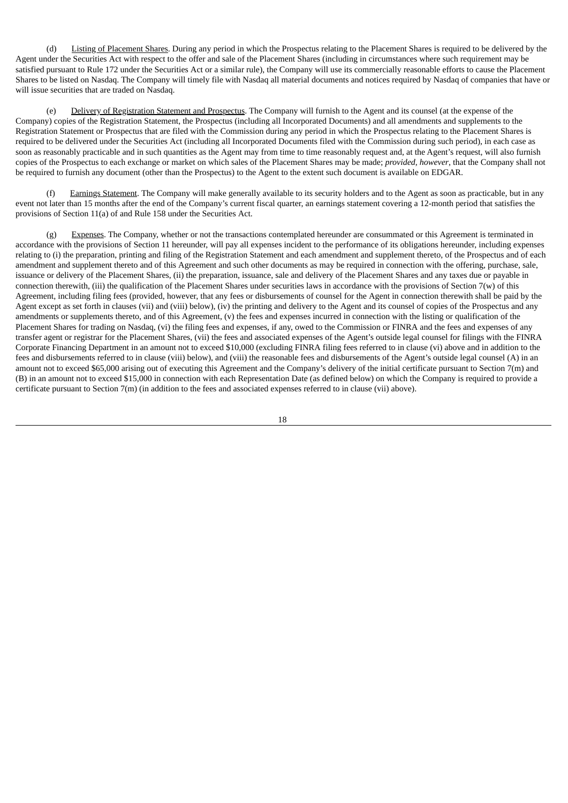(d) Listing of Placement Shares. During any period in which the Prospectus relating to the Placement Shares is required to be delivered by the Agent under the Securities Act with respect to the offer and sale of the Placement Shares (including in circumstances where such requirement may be satisfied pursuant to Rule 172 under the Securities Act or a similar rule), the Company will use its commercially reasonable efforts to cause the Placement Shares to be listed on Nasdaq. The Company will timely file with Nasdaq all material documents and notices required by Nasdaq of companies that have or will issue securities that are traded on Nasdaq.

(e) Delivery of Registration Statement and Prospectus. The Company will furnish to the Agent and its counsel (at the expense of the Company) copies of the Registration Statement, the Prospectus (including all Incorporated Documents) and all amendments and supplements to the Registration Statement or Prospectus that are filed with the Commission during any period in which the Prospectus relating to the Placement Shares is required to be delivered under the Securities Act (including all Incorporated Documents filed with the Commission during such period), in each case as soon as reasonably practicable and in such quantities as the Agent may from time to time reasonably request and, at the Agent's request, will also furnish copies of the Prospectus to each exchange or market on which sales of the Placement Shares may be made; *provided*, *however*, that the Company shall not be required to furnish any document (other than the Prospectus) to the Agent to the extent such document is available on EDGAR.

(f) Earnings Statement. The Company will make generally available to its security holders and to the Agent as soon as practicable, but in any event not later than 15 months after the end of the Company's current fiscal quarter, an earnings statement covering a 12-month period that satisfies the provisions of Section 11(a) of and Rule 158 under the Securities Act.

Expenses. The Company, whether or not the transactions contemplated hereunder are consummated or this Agreement is terminated in accordance with the provisions of Section 11 hereunder, will pay all expenses incident to the performance of its obligations hereunder, including expenses relating to (i) the preparation, printing and filing of the Registration Statement and each amendment and supplement thereto, of the Prospectus and of each amendment and supplement thereto and of this Agreement and such other documents as may be required in connection with the offering, purchase, sale, issuance or delivery of the Placement Shares, (ii) the preparation, issuance, sale and delivery of the Placement Shares and any taxes due or payable in connection therewith, (iii) the qualification of the Placement Shares under securities laws in accordance with the provisions of Section 7(w) of this Agreement, including filing fees (provided, however, that any fees or disbursements of counsel for the Agent in connection therewith shall be paid by the Agent except as set forth in clauses (vii) and (viii) below), (iv) the printing and delivery to the Agent and its counsel of copies of the Prospectus and any amendments or supplements thereto, and of this Agreement, (v) the fees and expenses incurred in connection with the listing or qualification of the Placement Shares for trading on Nasdaq, (vi) the filing fees and expenses, if any, owed to the Commission or FINRA and the fees and expenses of any transfer agent or registrar for the Placement Shares, (vii) the fees and associated expenses of the Agent's outside legal counsel for filings with the FINRA Corporate Financing Department in an amount not to exceed \$10,000 (excluding FINRA filing fees referred to in clause (vi) above and in addition to the fees and disbursements referred to in clause (viii) below), and (viii) the reasonable fees and disbursements of the Agent's outside legal counsel (A) in an amount not to exceed \$65,000 arising out of executing this Agreement and the Company's delivery of the initial certificate pursuant to Section 7(m) and (B) in an amount not to exceed \$15,000 in connection with each Representation Date (as defined below) on which the Company is required to provide a certificate pursuant to Section 7(m) (in addition to the fees and associated expenses referred to in clause (vii) above).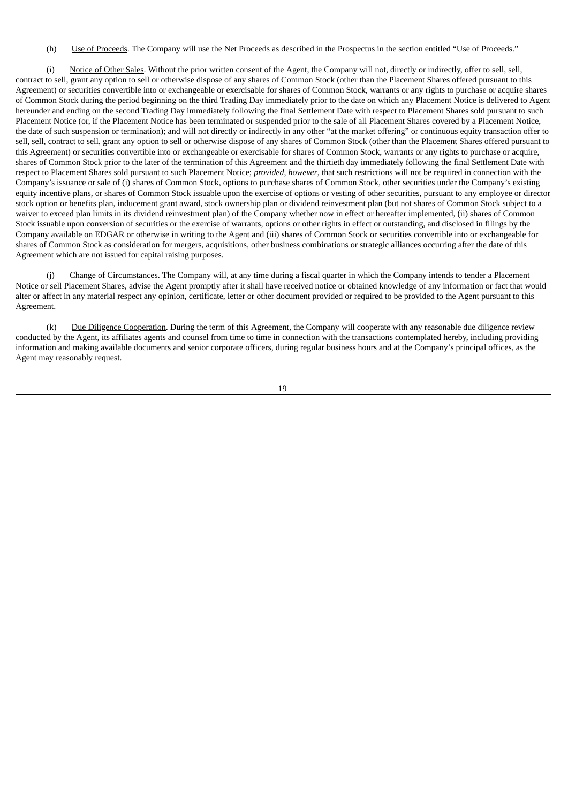(h) Use of Proceeds. The Company will use the Net Proceeds as described in the Prospectus in the section entitled "Use of Proceeds."

(i) Notice of Other Sales. Without the prior written consent of the Agent, the Company will not, directly or indirectly, offer to sell, sell, contract to sell, grant any option to sell or otherwise dispose of any shares of Common Stock (other than the Placement Shares offered pursuant to this Agreement) or securities convertible into or exchangeable or exercisable for shares of Common Stock, warrants or any rights to purchase or acquire shares of Common Stock during the period beginning on the third Trading Day immediately prior to the date on which any Placement Notice is delivered to Agent hereunder and ending on the second Trading Day immediately following the final Settlement Date with respect to Placement Shares sold pursuant to such Placement Notice (or, if the Placement Notice has been terminated or suspended prior to the sale of all Placement Shares covered by a Placement Notice, the date of such suspension or termination); and will not directly or indirectly in any other "at the market offering" or continuous equity transaction offer to sell, sell, contract to sell, grant any option to sell or otherwise dispose of any shares of Common Stock (other than the Placement Shares offered pursuant to this Agreement) or securities convertible into or exchangeable or exercisable for shares of Common Stock, warrants or any rights to purchase or acquire, shares of Common Stock prior to the later of the termination of this Agreement and the thirtieth day immediately following the final Settlement Date with respect to Placement Shares sold pursuant to such Placement Notice; *provided*, *however*, that such restrictions will not be required in connection with the Company's issuance or sale of (i) shares of Common Stock, options to purchase shares of Common Stock, other securities under the Company's existing equity incentive plans, or shares of Common Stock issuable upon the exercise of options or vesting of other securities, pursuant to any employee or director stock option or benefits plan, inducement grant award, stock ownership plan or dividend reinvestment plan (but not shares of Common Stock subject to a waiver to exceed plan limits in its dividend reinvestment plan) of the Company whether now in effect or hereafter implemented, (ii) shares of Common Stock issuable upon conversion of securities or the exercise of warrants, options or other rights in effect or outstanding, and disclosed in filings by the Company available on EDGAR or otherwise in writing to the Agent and (iii) shares of Common Stock or securities convertible into or exchangeable for shares of Common Stock as consideration for mergers, acquisitions, other business combinations or strategic alliances occurring after the date of this Agreement which are not issued for capital raising purposes.

(j) Change of Circumstances. The Company will, at any time during a fiscal quarter in which the Company intends to tender a Placement Notice or sell Placement Shares, advise the Agent promptly after it shall have received notice or obtained knowledge of any information or fact that would alter or affect in any material respect any opinion, certificate, letter or other document provided or required to be provided to the Agent pursuant to this Agreement.

(k) Due Diligence Cooperation. During the term of this Agreement, the Company will cooperate with any reasonable due diligence review conducted by the Agent, its affiliates agents and counsel from time to time in connection with the transactions contemplated hereby, including providing information and making available documents and senior corporate officers, during regular business hours and at the Company's principal offices, as the Agent may reasonably request.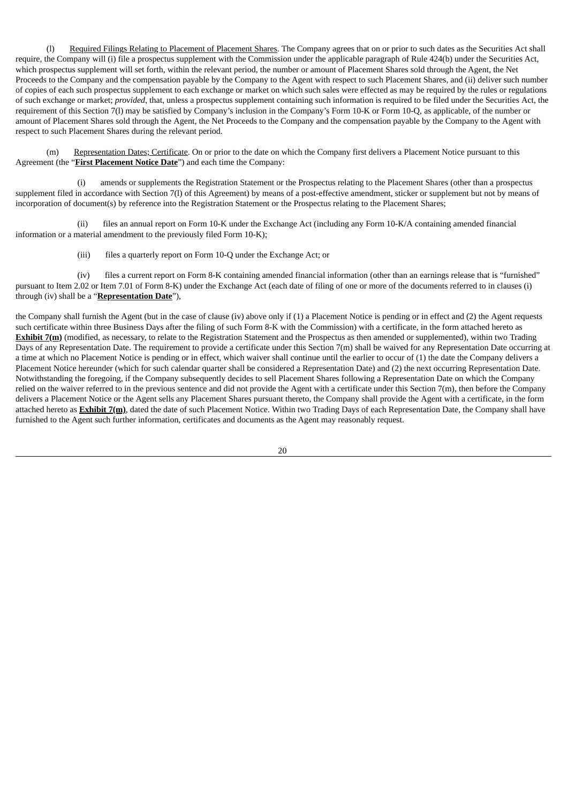(l) Required Filings Relating to Placement of Placement Shares. The Company agrees that on or prior to such dates as the Securities Act shall require, the Company will (i) file a prospectus supplement with the Commission under the applicable paragraph of Rule 424(b) under the Securities Act, which prospectus supplement will set forth, within the relevant period, the number or amount of Placement Shares sold through the Agent, the Net Proceeds to the Company and the compensation payable by the Company to the Agent with respect to such Placement Shares, and (ii) deliver such number of copies of each such prospectus supplement to each exchange or market on which such sales were effected as may be required by the rules or regulations of such exchange or market; *provided*, that, unless a prospectus supplement containing such information is required to be filed under the Securities Act, the requirement of this Section 7(l) may be satisfied by Company's inclusion in the Company's Form 10-K or Form 10-Q, as applicable, of the number or amount of Placement Shares sold through the Agent, the Net Proceeds to the Company and the compensation payable by the Company to the Agent with respect to such Placement Shares during the relevant period.

(m) Representation Dates; Certificate. On or prior to the date on which the Company first delivers a Placement Notice pursuant to this Agreement (the "**First Placement Notice Date**") and each time the Company:

(i) amends or supplements the Registration Statement or the Prospectus relating to the Placement Shares (other than a prospectus supplement filed in accordance with Section 7(l) of this Agreement) by means of a post-effective amendment, sticker or supplement but not by means of incorporation of document(s) by reference into the Registration Statement or the Prospectus relating to the Placement Shares;

(ii) files an annual report on Form 10-K under the Exchange Act (including any Form 10-K/A containing amended financial information or a material amendment to the previously filed Form 10-K);

(iii) files a quarterly report on Form 10-Q under the Exchange Act; or

(iv) files a current report on Form 8-K containing amended financial information (other than an earnings release that is "furnished" pursuant to Item 2.02 or Item 7.01 of Form 8-K) under the Exchange Act (each date of filing of one or more of the documents referred to in clauses (i) through (iv) shall be a "**Representation Date**"),

the Company shall furnish the Agent (but in the case of clause (iv) above only if (1) a Placement Notice is pending or in effect and (2) the Agent requests such certificate within three Business Days after the filing of such Form 8-K with the Commission) with a certificate, in the form attached hereto as **Exhibit 7(m)** (modified, as necessary, to relate to the Registration Statement and the Prospectus as then amended or supplemented), within two Trading Days of any Representation Date. The requirement to provide a certificate under this Section 7(m) shall be waived for any Representation Date occurring at a time at which no Placement Notice is pending or in effect, which waiver shall continue until the earlier to occur of (1) the date the Company delivers a Placement Notice hereunder (which for such calendar quarter shall be considered a Representation Date) and (2) the next occurring Representation Date. Notwithstanding the foregoing, if the Company subsequently decides to sell Placement Shares following a Representation Date on which the Company relied on the waiver referred to in the previous sentence and did not provide the Agent with a certificate under this Section 7(m), then before the Company delivers a Placement Notice or the Agent sells any Placement Shares pursuant thereto, the Company shall provide the Agent with a certificate, in the form attached hereto as **Exhibit 7(m)**, dated the date of such Placement Notice. Within two Trading Days of each Representation Date, the Company shall have furnished to the Agent such further information, certificates and documents as the Agent may reasonably request.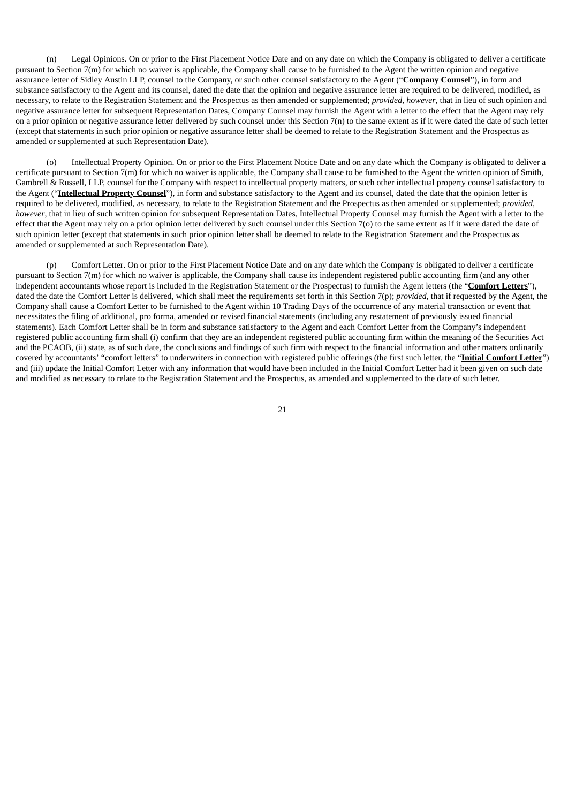(n) Legal Opinions. On or prior to the First Placement Notice Date and on any date on which the Company is obligated to deliver a certificate pursuant to Section 7(m) for which no waiver is applicable, the Company shall cause to be furnished to the Agent the written opinion and negative assurance letter of Sidley Austin LLP, counsel to the Company, or such other counsel satisfactory to the Agent ("**Company Counsel**"), in form and substance satisfactory to the Agent and its counsel, dated the date that the opinion and negative assurance letter are required to be delivered, modified, as necessary, to relate to the Registration Statement and the Prospectus as then amended or supplemented; *provided*, *however*, that in lieu of such opinion and negative assurance letter for subsequent Representation Dates, Company Counsel may furnish the Agent with a letter to the effect that the Agent may rely on a prior opinion or negative assurance letter delivered by such counsel under this Section 7(n) to the same extent as if it were dated the date of such letter (except that statements in such prior opinion or negative assurance letter shall be deemed to relate to the Registration Statement and the Prospectus as amended or supplemented at such Representation Date).

(o) Intellectual Property Opinion. On or prior to the First Placement Notice Date and on any date which the Company is obligated to deliver a certificate pursuant to Section  $\overline{r}$ (m) for which no waiver is applicable, the Company shall cause to be furnished to the Agent the written opinion of Smith, Gambrell & Russell, LLP, counsel for the Company with respect to intellectual property matters, or such other intellectual property counsel satisfactory to the Agent ("**Intellectual Property Counsel**"), in form and substance satisfactory to the Agent and its counsel, dated the date that the opinion letter is required to be delivered, modified, as necessary, to relate to the Registration Statement and the Prospectus as then amended or supplemented; *provided*, *however*, that in lieu of such written opinion for subsequent Representation Dates, Intellectual Property Counsel may furnish the Agent with a letter to the effect that the Agent may rely on a prior opinion letter delivered by such counsel under this Section 7(o) to the same extent as if it were dated the date of such opinion letter (except that statements in such prior opinion letter shall be deemed to relate to the Registration Statement and the Prospectus as amended or supplemented at such Representation Date).

(p) Comfort Letter. On or prior to the First Placement Notice Date and on any date which the Company is obligated to deliver a certificate pursuant to Section 7(m) for which no waiver is applicable, the Company shall cause its independent registered public accounting firm (and any other independent accountants whose report is included in the Registration Statement or the Prospectus) to furnish the Agent letters (the "**Comfort Letters**"), dated the date the Comfort Letter is delivered, which shall meet the requirements set forth in this Section 7(p); *provided*, that if requested by the Agent, the Company shall cause a Comfort Letter to be furnished to the Agent within 10 Trading Days of the occurrence of any material transaction or event that necessitates the filing of additional, pro forma, amended or revised financial statements (including any restatement of previously issued financial statements). Each Comfort Letter shall be in form and substance satisfactory to the Agent and each Comfort Letter from the Company's independent registered public accounting firm shall (i) confirm that they are an independent registered public accounting firm within the meaning of the Securities Act and the PCAOB, (ii) state, as of such date, the conclusions and findings of such firm with respect to the financial information and other matters ordinarily covered by accountants' "comfort letters" to underwriters in connection with registered public offerings (the first such letter, the "**Initial Comfort Letter**") and (iii) update the Initial Comfort Letter with any information that would have been included in the Initial Comfort Letter had it been given on such date and modified as necessary to relate to the Registration Statement and the Prospectus, as amended and supplemented to the date of such letter.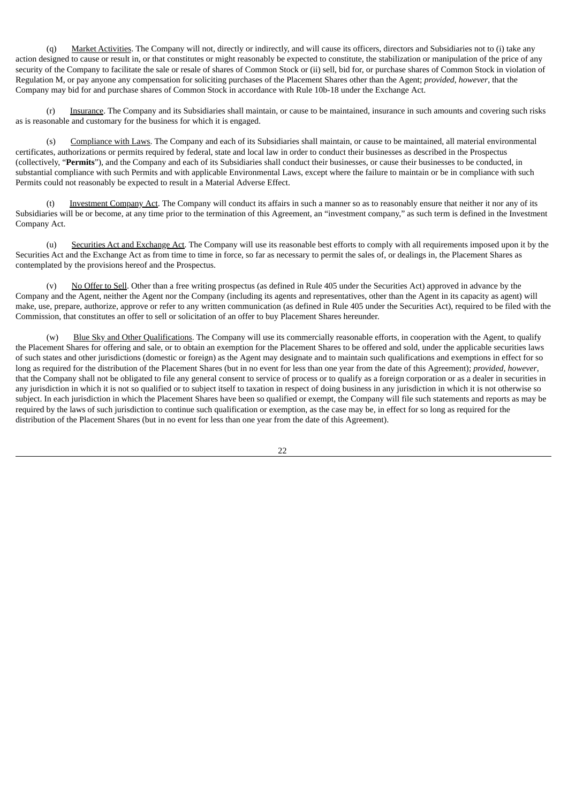(q) Market Activities. The Company will not, directly or indirectly, and will cause its officers, directors and Subsidiaries not to (i) take any action designed to cause or result in, or that constitutes or might reasonably be expected to constitute, the stabilization or manipulation of the price of any security of the Company to facilitate the sale or resale of shares of Common Stock or (ii) sell, bid for, or purchase shares of Common Stock in violation of Regulation M, or pay anyone any compensation for soliciting purchases of the Placement Shares other than the Agent; *provided*, *however*, that the Company may bid for and purchase shares of Common Stock in accordance with Rule 10b-18 under the Exchange Act.

Insurance. The Company and its Subsidiaries shall maintain, or cause to be maintained, insurance in such amounts and covering such risks as is reasonable and customary for the business for which it is engaged.

(s) Compliance with Laws. The Company and each of its Subsidiaries shall maintain, or cause to be maintained, all material environmental certificates, authorizations or permits required by federal, state and local law in order to conduct their businesses as described in the Prospectus (collectively, "**Permits**"), and the Company and each of its Subsidiaries shall conduct their businesses, or cause their businesses to be conducted, in substantial compliance with such Permits and with applicable Environmental Laws, except where the failure to maintain or be in compliance with such Permits could not reasonably be expected to result in a Material Adverse Effect.

Investment Company Act. The Company will conduct its affairs in such a manner so as to reasonably ensure that neither it nor any of its Subsidiaries will be or become, at any time prior to the termination of this Agreement, an "investment company," as such term is defined in the Investment Company Act.

(u) Securities Act and Exchange Act. The Company will use its reasonable best efforts to comply with all requirements imposed upon it by the Securities Act and the Exchange Act as from time to time in force, so far as necessary to permit the sales of, or dealings in, the Placement Shares as contemplated by the provisions hereof and the Prospectus.

(v) No Offer to Sell. Other than a free writing prospectus (as defined in Rule 405 under the Securities Act) approved in advance by the Company and the Agent, neither the Agent nor the Company (including its agents and representatives, other than the Agent in its capacity as agent) will make, use, prepare, authorize, approve or refer to any written communication (as defined in Rule 405 under the Securities Act), required to be filed with the Commission, that constitutes an offer to sell or solicitation of an offer to buy Placement Shares hereunder.

(w) Blue Sky and Other Qualifications. The Company will use its commercially reasonable efforts, in cooperation with the Agent, to qualify the Placement Shares for offering and sale, or to obtain an exemption for the Placement Shares to be offered and sold, under the applicable securities laws of such states and other jurisdictions (domestic or foreign) as the Agent may designate and to maintain such qualifications and exemptions in effect for so long as required for the distribution of the Placement Shares (but in no event for less than one year from the date of this Agreement); *provided, however*, that the Company shall not be obligated to file any general consent to service of process or to qualify as a foreign corporation or as a dealer in securities in any jurisdiction in which it is not so qualified or to subject itself to taxation in respect of doing business in any jurisdiction in which it is not otherwise so subject. In each jurisdiction in which the Placement Shares have been so qualified or exempt, the Company will file such statements and reports as may be required by the laws of such jurisdiction to continue such qualification or exemption, as the case may be, in effect for so long as required for the distribution of the Placement Shares (but in no event for less than one year from the date of this Agreement).

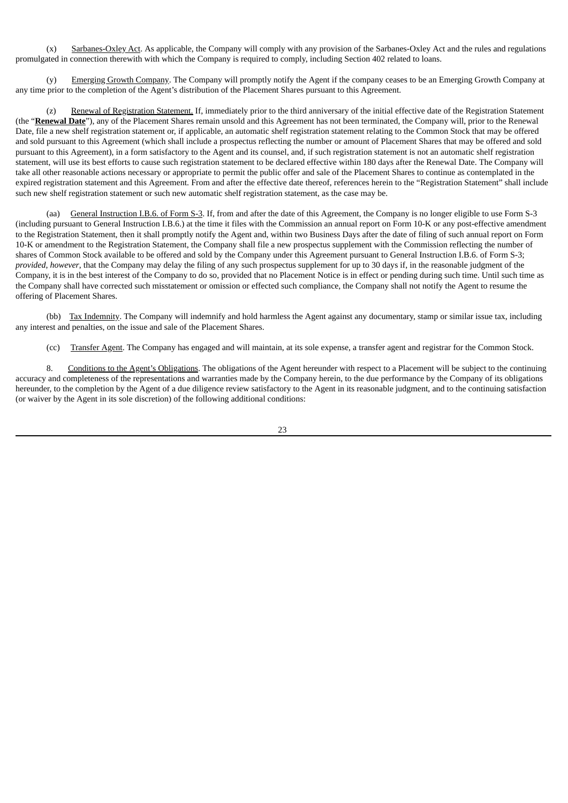(x) Sarbanes-Oxley Act. As applicable, the Company will comply with any provision of the Sarbanes-Oxley Act and the rules and regulations promulgated in connection therewith with which the Company is required to comply, including Section 402 related to loans.

(y) Emerging Growth Company. The Company will promptly notify the Agent if the company ceases to be an Emerging Growth Company at any time prior to the completion of the Agent's distribution of the Placement Shares pursuant to this Agreement.

(z) Renewal of Registration Statement. If, immediately prior to the third anniversary of the initial effective date of the Registration Statement (the "**Renewal Date**"), any of the Placement Shares remain unsold and this Agreement has not been terminated, the Company will, prior to the Renewal Date, file a new shelf registration statement or, if applicable, an automatic shelf registration statement relating to the Common Stock that may be offered and sold pursuant to this Agreement (which shall include a prospectus reflecting the number or amount of Placement Shares that may be offered and sold pursuant to this Agreement), in a form satisfactory to the Agent and its counsel, and, if such registration statement is not an automatic shelf registration statement, will use its best efforts to cause such registration statement to be declared effective within 180 days after the Renewal Date. The Company will take all other reasonable actions necessary or appropriate to permit the public offer and sale of the Placement Shares to continue as contemplated in the expired registration statement and this Agreement. From and after the effective date thereof, references herein to the "Registration Statement" shall include such new shelf registration statement or such new automatic shelf registration statement, as the case may be.

(aa) General Instruction I.B.6. of Form S-3. If, from and after the date of this Agreement, the Company is no longer eligible to use Form S-3 (including pursuant to General Instruction I.B.6.) at the time it files with the Commission an annual report on Form 10-K or any post-effective amendment to the Registration Statement, then it shall promptly notify the Agent and, within two Business Days after the date of filing of such annual report on Form 10-K or amendment to the Registration Statement, the Company shall file a new prospectus supplement with the Commission reflecting the number of shares of Common Stock available to be offered and sold by the Company under this Agreement pursuant to General Instruction I.B.6. of Form S-3; *provided*, *however*, that the Company may delay the filing of any such prospectus supplement for up to 30 days if, in the reasonable judgment of the Company, it is in the best interest of the Company to do so, provided that no Placement Notice is in effect or pending during such time. Until such time as the Company shall have corrected such misstatement or omission or effected such compliance, the Company shall not notify the Agent to resume the offering of Placement Shares.

(bb) Tax Indemnity. The Company will indemnify and hold harmless the Agent against any documentary, stamp or similar issue tax, including any interest and penalties, on the issue and sale of the Placement Shares.

(cc) Transfer Agent. The Company has engaged and will maintain, at its sole expense, a transfer agent and registrar for the Common Stock.

8. Conditions to the Agent's Obligations. The obligations of the Agent hereunder with respect to a Placement will be subject to the continuing accuracy and completeness of the representations and warranties made by the Company herein, to the due performance by the Company of its obligations hereunder, to the completion by the Agent of a due diligence review satisfactory to the Agent in its reasonable judgment, and to the continuing satisfaction (or waiver by the Agent in its sole discretion) of the following additional conditions: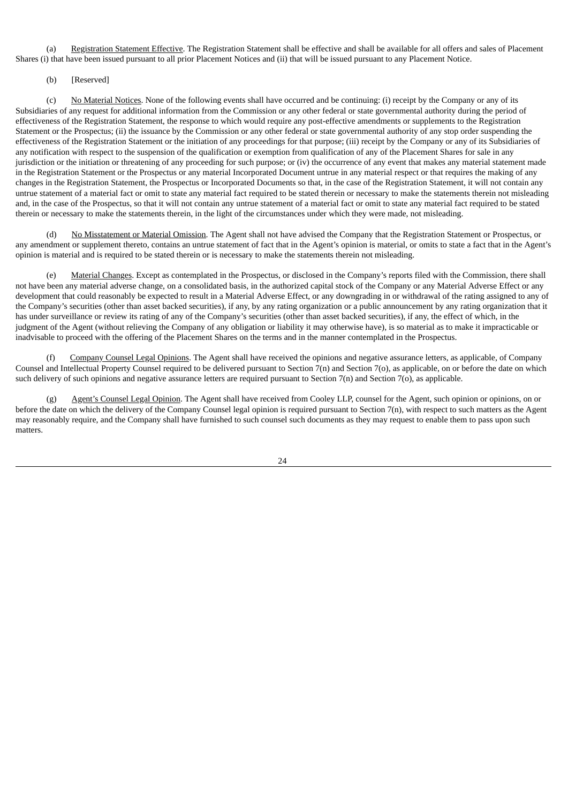(a) Registration Statement Effective. The Registration Statement shall be effective and shall be available for all offers and sales of Placement Shares (i) that have been issued pursuant to all prior Placement Notices and (ii) that will be issued pursuant to any Placement Notice.

# (b) [Reserved]

(c) No Material Notices. None of the following events shall have occurred and be continuing: (i) receipt by the Company or any of its Subsidiaries of any request for additional information from the Commission or any other federal or state governmental authority during the period of effectiveness of the Registration Statement, the response to which would require any post-effective amendments or supplements to the Registration Statement or the Prospectus; (ii) the issuance by the Commission or any other federal or state governmental authority of any stop order suspending the effectiveness of the Registration Statement or the initiation of any proceedings for that purpose; (iii) receipt by the Company or any of its Subsidiaries of any notification with respect to the suspension of the qualification or exemption from qualification of any of the Placement Shares for sale in any jurisdiction or the initiation or threatening of any proceeding for such purpose; or (iv) the occurrence of any event that makes any material statement made in the Registration Statement or the Prospectus or any material Incorporated Document untrue in any material respect or that requires the making of any changes in the Registration Statement, the Prospectus or Incorporated Documents so that, in the case of the Registration Statement, it will not contain any untrue statement of a material fact or omit to state any material fact required to be stated therein or necessary to make the statements therein not misleading and, in the case of the Prospectus, so that it will not contain any untrue statement of a material fact or omit to state any material fact required to be stated therein or necessary to make the statements therein, in the light of the circumstances under which they were made, not misleading.

No Misstatement or Material Omission. The Agent shall not have advised the Company that the Registration Statement or Prospectus, or any amendment or supplement thereto, contains an untrue statement of fact that in the Agent's opinion is material, or omits to state a fact that in the Agent's opinion is material and is required to be stated therein or is necessary to make the statements therein not misleading.

Material Changes. Except as contemplated in the Prospectus, or disclosed in the Company's reports filed with the Commission, there shall not have been any material adverse change, on a consolidated basis, in the authorized capital stock of the Company or any Material Adverse Effect or any development that could reasonably be expected to result in a Material Adverse Effect, or any downgrading in or withdrawal of the rating assigned to any of the Company's securities (other than asset backed securities), if any, by any rating organization or a public announcement by any rating organization that it has under surveillance or review its rating of any of the Company's securities (other than asset backed securities), if any, the effect of which, in the judgment of the Agent (without relieving the Company of any obligation or liability it may otherwise have), is so material as to make it impracticable or inadvisable to proceed with the offering of the Placement Shares on the terms and in the manner contemplated in the Prospectus.

Company Counsel Legal Opinions. The Agent shall have received the opinions and negative assurance letters, as applicable, of Company Counsel and Intellectual Property Counsel required to be delivered pursuant to Section 7(n) and Section 7(o), as applicable, on or before the date on which such delivery of such opinions and negative assurance letters are required pursuant to Section 7(n) and Section 7(o), as applicable.

(g) Agent's Counsel Legal Opinion. The Agent shall have received from Cooley LLP, counsel for the Agent, such opinion or opinions, on or before the date on which the delivery of the Company Counsel legal opinion is required pursuant to Section 7(n), with respect to such matters as the Agent may reasonably require, and the Company shall have furnished to such counsel such documents as they may request to enable them to pass upon such matters.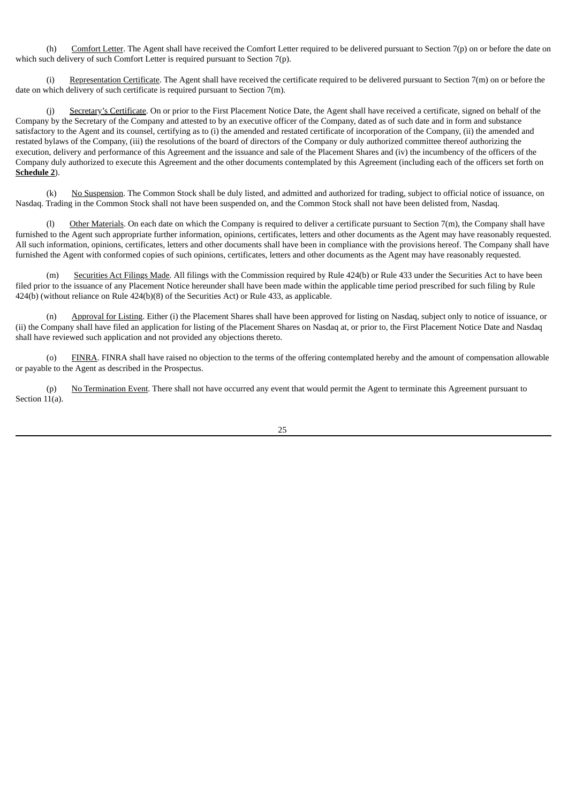(h) Comfort Letter. The Agent shall have received the Comfort Letter required to be delivered pursuant to Section 7(p) on or before the date on which such delivery of such Comfort Letter is required pursuant to Section 7(p).

(i) Representation Certificate. The Agent shall have received the certificate required to be delivered pursuant to Section 7(m) on or before the date on which delivery of such certificate is required pursuant to Section 7(m).

(j) Secretary's Certificate. On or prior to the First Placement Notice Date, the Agent shall have received a certificate, signed on behalf of the Company by the Secretary of the Company and attested to by an executive officer of the Company, dated as of such date and in form and substance satisfactory to the Agent and its counsel, certifying as to (i) the amended and restated certificate of incorporation of the Company, (ii) the amended and restated bylaws of the Company, (iii) the resolutions of the board of directors of the Company or duly authorized committee thereof authorizing the execution, delivery and performance of this Agreement and the issuance and sale of the Placement Shares and (iv) the incumbency of the officers of the Company duly authorized to execute this Agreement and the other documents contemplated by this Agreement (including each of the officers set forth on **Schedule 2**).

(k) No Suspension. The Common Stock shall be duly listed, and admitted and authorized for trading, subject to official notice of issuance, on Nasdaq. Trading in the Common Stock shall not have been suspended on, and the Common Stock shall not have been delisted from, Nasdaq.

(l) Other Materials. On each date on which the Company is required to deliver a certificate pursuant to Section 7(m), the Company shall have furnished to the Agent such appropriate further information, opinions, certificates, letters and other documents as the Agent may have reasonably requested. All such information, opinions, certificates, letters and other documents shall have been in compliance with the provisions hereof. The Company shall have furnished the Agent with conformed copies of such opinions, certificates, letters and other documents as the Agent may have reasonably requested.

Securities Act Filings Made. All filings with the Commission required by Rule 424(b) or Rule 433 under the Securities Act to have been filed prior to the issuance of any Placement Notice hereunder shall have been made within the applicable time period prescribed for such filing by Rule 424(b) (without reliance on Rule 424(b)(8) of the Securities Act) or Rule 433, as applicable.

(n) Approval for Listing. Either (i) the Placement Shares shall have been approved for listing on Nasdaq, subject only to notice of issuance, or (ii) the Company shall have filed an application for listing of the Placement Shares on Nasdaq at, or prior to, the First Placement Notice Date and Nasdaq shall have reviewed such application and not provided any objections thereto.

FINRA. FINRA shall have raised no objection to the terms of the offering contemplated hereby and the amount of compensation allowable or payable to the Agent as described in the Prospectus.

(p) No Termination Event. There shall not have occurred any event that would permit the Agent to terminate this Agreement pursuant to Section 11(a).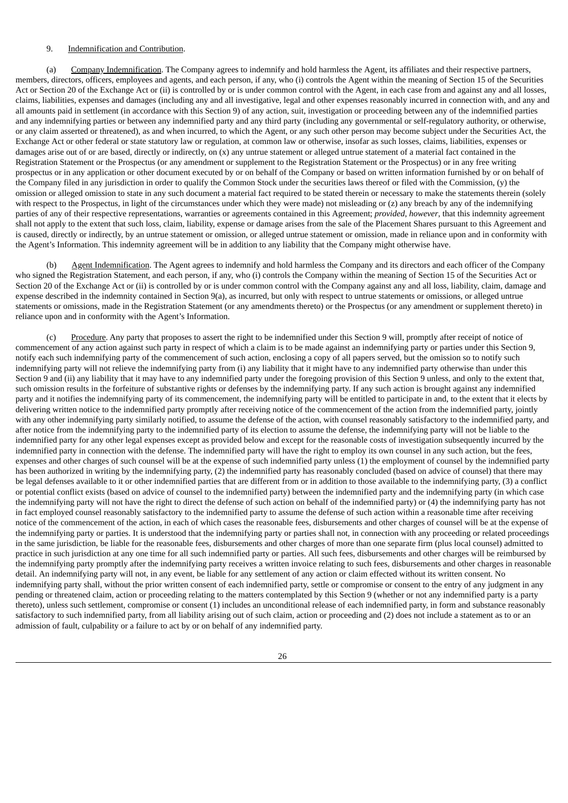#### 9. Indemnification and Contribution.

(a) Company Indemnification. The Company agrees to indemnify and hold harmless the Agent, its affiliates and their respective partners, members, directors, officers, employees and agents, and each person, if any, who (i) controls the Agent within the meaning of Section 15 of the Securities Act or Section 20 of the Exchange Act or (ii) is controlled by or is under common control with the Agent, in each case from and against any and all losses, claims, liabilities, expenses and damages (including any and all investigative, legal and other expenses reasonably incurred in connection with, and any and all amounts paid in settlement (in accordance with this Section 9) of any action, suit, investigation or proceeding between any of the indemnified parties and any indemnifying parties or between any indemnified party and any third party (including any governmental or self-regulatory authority, or otherwise, or any claim asserted or threatened), as and when incurred, to which the Agent, or any such other person may become subject under the Securities Act, the Exchange Act or other federal or state statutory law or regulation, at common law or otherwise, insofar as such losses, claims, liabilities, expenses or damages arise out of or are based, directly or indirectly, on (x) any untrue statement or alleged untrue statement of a material fact contained in the Registration Statement or the Prospectus (or any amendment or supplement to the Registration Statement or the Prospectus) or in any free writing prospectus or in any application or other document executed by or on behalf of the Company or based on written information furnished by or on behalf of the Company filed in any jurisdiction in order to qualify the Common Stock under the securities laws thereof or filed with the Commission, (y) the omission or alleged omission to state in any such document a material fact required to be stated therein or necessary to make the statements therein (solely with respect to the Prospectus, in light of the circumstances under which they were made) not misleading or (z) any breach by any of the indemnifying parties of any of their respective representations, warranties or agreements contained in this Agreement; *provided*, *however*, that this indemnity agreement shall not apply to the extent that such loss, claim, liability, expense or damage arises from the sale of the Placement Shares pursuant to this Agreement and is caused, directly or indirectly, by an untrue statement or omission, or alleged untrue statement or omission, made in reliance upon and in conformity with the Agent's Information. This indemnity agreement will be in addition to any liability that the Company might otherwise have.

(b) Agent Indemnification. The Agent agrees to indemnify and hold harmless the Company and its directors and each officer of the Company who signed the Registration Statement, and each person, if any, who (i) controls the Company within the meaning of Section 15 of the Securities Act or Section 20 of the Exchange Act or (ii) is controlled by or is under common control with the Company against any and all loss, liability, claim, damage and expense described in the indemnity contained in Section 9(a), as incurred, but only with respect to untrue statements or omissions, or alleged untrue statements or omissions, made in the Registration Statement (or any amendments thereto) or the Prospectus (or any amendment or supplement thereto) in reliance upon and in conformity with the Agent's Information.

(c) Procedure. Any party that proposes to assert the right to be indemnified under this Section 9 will, promptly after receipt of notice of commencement of any action against such party in respect of which a claim is to be made against an indemnifying party or parties under this Section 9, notify each such indemnifying party of the commencement of such action, enclosing a copy of all papers served, but the omission so to notify such indemnifying party will not relieve the indemnifying party from (i) any liability that it might have to any indemnified party otherwise than under this Section 9 and (ii) any liability that it may have to any indemnified party under the foregoing provision of this Section 9 unless, and only to the extent that, such omission results in the forfeiture of substantive rights or defenses by the indemnifying party. If any such action is brought against any indemnified party and it notifies the indemnifying party of its commencement, the indemnifying party will be entitled to participate in and, to the extent that it elects by delivering written notice to the indemnified party promptly after receiving notice of the commencement of the action from the indemnified party, jointly with any other indemnifying party similarly notified, to assume the defense of the action, with counsel reasonably satisfactory to the indemnified party, and after notice from the indemnifying party to the indemnified party of its election to assume the defense, the indemnifying party will not be liable to the indemnified party for any other legal expenses except as provided below and except for the reasonable costs of investigation subsequently incurred by the indemnified party in connection with the defense. The indemnified party will have the right to employ its own counsel in any such action, but the fees, expenses and other charges of such counsel will be at the expense of such indemnified party unless (1) the employment of counsel by the indemnified party has been authorized in writing by the indemnifying party, (2) the indemnified party has reasonably concluded (based on advice of counsel) that there may be legal defenses available to it or other indemnified parties that are different from or in addition to those available to the indemnifying party, (3) a conflict or potential conflict exists (based on advice of counsel to the indemnified party) between the indemnified party and the indemnifying party (in which case the indemnifying party will not have the right to direct the defense of such action on behalf of the indemnified party) or (4) the indemnifying party has not in fact employed counsel reasonably satisfactory to the indemnified party to assume the defense of such action within a reasonable time after receiving notice of the commencement of the action, in each of which cases the reasonable fees, disbursements and other charges of counsel will be at the expense of the indemnifying party or parties. It is understood that the indemnifying party or parties shall not, in connection with any proceeding or related proceedings in the same jurisdiction, be liable for the reasonable fees, disbursements and other charges of more than one separate firm (plus local counsel) admitted to practice in such jurisdiction at any one time for all such indemnified party or parties. All such fees, disbursements and other charges will be reimbursed by the indemnifying party promptly after the indemnifying party receives a written invoice relating to such fees, disbursements and other charges in reasonable detail. An indemnifying party will not, in any event, be liable for any settlement of any action or claim effected without its written consent. No indemnifying party shall, without the prior written consent of each indemnified party, settle or compromise or consent to the entry of any judgment in any pending or threatened claim, action or proceeding relating to the matters contemplated by this Section 9 (whether or not any indemnified party is a party thereto), unless such settlement, compromise or consent (1) includes an unconditional release of each indemnified party, in form and substance reasonably satisfactory to such indemnified party, from all liability arising out of such claim, action or proceeding and (2) does not include a statement as to or an admission of fault, culpability or a failure to act by or on behalf of any indemnified party.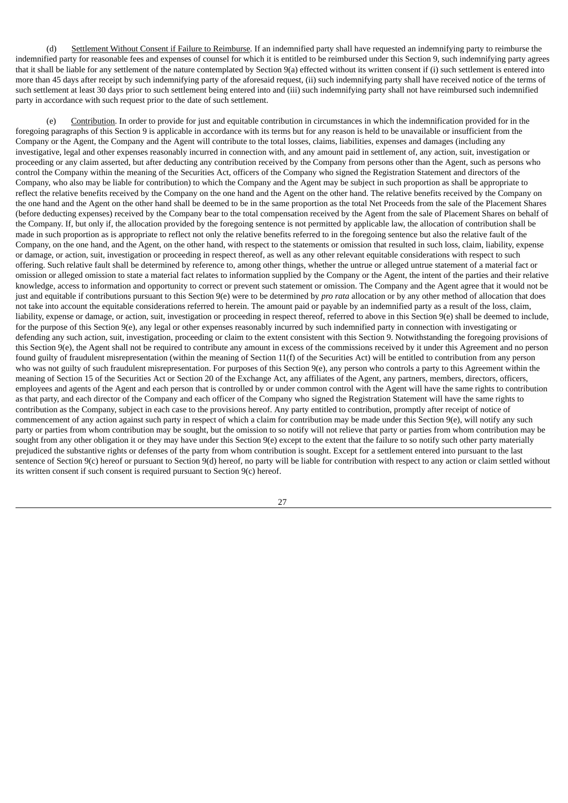(d) Settlement Without Consent if Failure to Reimburse*.* If an indemnified party shall have requested an indemnifying party to reimburse the indemnified party for reasonable fees and expenses of counsel for which it is entitled to be reimbursed under this Section 9, such indemnifying party agrees that it shall be liable for any settlement of the nature contemplated by Section 9(a) effected without its written consent if (i) such settlement is entered into more than 45 days after receipt by such indemnifying party of the aforesaid request, (ii) such indemnifying party shall have received notice of the terms of such settlement at least 30 days prior to such settlement being entered into and (iii) such indemnifying party shall not have reimbursed such indemnified party in accordance with such request prior to the date of such settlement.

(e) Contribution. In order to provide for just and equitable contribution in circumstances in which the indemnification provided for in the foregoing paragraphs of this Section 9 is applicable in accordance with its terms but for any reason is held to be unavailable or insufficient from the Company or the Agent, the Company and the Agent will contribute to the total losses, claims, liabilities, expenses and damages (including any investigative, legal and other expenses reasonably incurred in connection with, and any amount paid in settlement of, any action, suit, investigation or proceeding or any claim asserted, but after deducting any contribution received by the Company from persons other than the Agent, such as persons who control the Company within the meaning of the Securities Act, officers of the Company who signed the Registration Statement and directors of the Company, who also may be liable for contribution) to which the Company and the Agent may be subject in such proportion as shall be appropriate to reflect the relative benefits received by the Company on the one hand and the Agent on the other hand. The relative benefits received by the Company on the one hand and the Agent on the other hand shall be deemed to be in the same proportion as the total Net Proceeds from the sale of the Placement Shares (before deducting expenses) received by the Company bear to the total compensation received by the Agent from the sale of Placement Shares on behalf of the Company. If, but only if, the allocation provided by the foregoing sentence is not permitted by applicable law, the allocation of contribution shall be made in such proportion as is appropriate to reflect not only the relative benefits referred to in the foregoing sentence but also the relative fault of the Company, on the one hand, and the Agent, on the other hand, with respect to the statements or omission that resulted in such loss, claim, liability, expense or damage, or action, suit, investigation or proceeding in respect thereof, as well as any other relevant equitable considerations with respect to such offering. Such relative fault shall be determined by reference to, among other things, whether the untrue or alleged untrue statement of a material fact or omission or alleged omission to state a material fact relates to information supplied by the Company or the Agent, the intent of the parties and their relative knowledge, access to information and opportunity to correct or prevent such statement or omission. The Company and the Agent agree that it would not be just and equitable if contributions pursuant to this Section 9(e) were to be determined by *pro rata* allocation or by any other method of allocation that does not take into account the equitable considerations referred to herein. The amount paid or payable by an indemnified party as a result of the loss, claim, liability, expense or damage, or action, suit, investigation or proceeding in respect thereof, referred to above in this Section 9(e) shall be deemed to include, for the purpose of this Section 9(e), any legal or other expenses reasonably incurred by such indemnified party in connection with investigating or defending any such action, suit, investigation, proceeding or claim to the extent consistent with this Section 9. Notwithstanding the foregoing provisions of this Section 9(e), the Agent shall not be required to contribute any amount in excess of the commissions received by it under this Agreement and no person found guilty of fraudulent misrepresentation (within the meaning of Section 11(f) of the Securities Act) will be entitled to contribution from any person who was not guilty of such fraudulent misrepresentation. For purposes of this Section 9(e), any person who controls a party to this Agreement within the meaning of Section 15 of the Securities Act or Section 20 of the Exchange Act, any affiliates of the Agent, any partners, members, directors, officers, employees and agents of the Agent and each person that is controlled by or under common control with the Agent will have the same rights to contribution as that party, and each director of the Company and each officer of the Company who signed the Registration Statement will have the same rights to contribution as the Company, subject in each case to the provisions hereof. Any party entitled to contribution, promptly after receipt of notice of commencement of any action against such party in respect of which a claim for contribution may be made under this Section 9(e), will notify any such party or parties from whom contribution may be sought, but the omission to so notify will not relieve that party or parties from whom contribution may be sought from any other obligation it or they may have under this Section 9(e) except to the extent that the failure to so notify such other party materially prejudiced the substantive rights or defenses of the party from whom contribution is sought. Except for a settlement entered into pursuant to the last sentence of Section 9(c) hereof or pursuant to Section 9(d) hereof, no party will be liable for contribution with respect to any action or claim settled without its written consent if such consent is required pursuant to Section 9(c) hereof.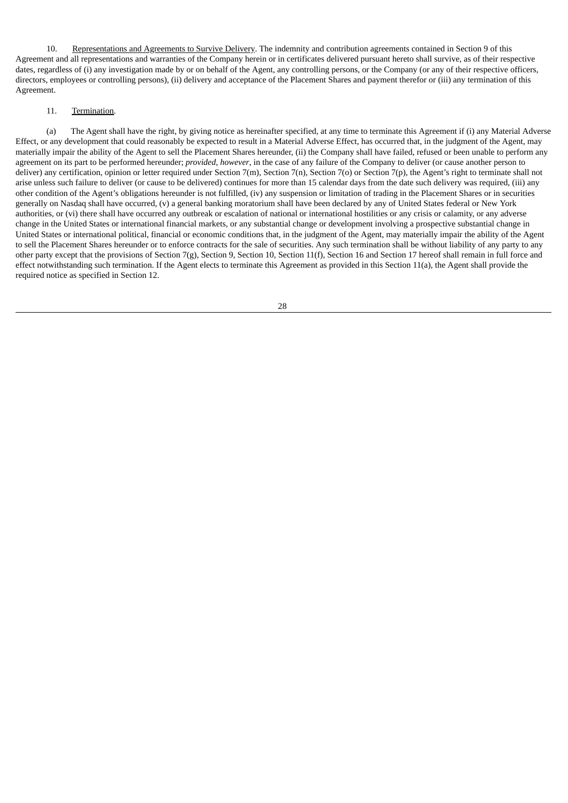10. Representations and Agreements to Survive Delivery. The indemnity and contribution agreements contained in Section 9 of this Agreement and all representations and warranties of the Company herein or in certificates delivered pursuant hereto shall survive, as of their respective dates, regardless of (i) any investigation made by or on behalf of the Agent, any controlling persons, or the Company (or any of their respective officers, directors, employees or controlling persons), (ii) delivery and acceptance of the Placement Shares and payment therefor or (iii) any termination of this Agreement.

# 11. Termination.

(a) The Agent shall have the right, by giving notice as hereinafter specified, at any time to terminate this Agreement if (i) any Material Adverse Effect, or any development that could reasonably be expected to result in a Material Adverse Effect, has occurred that, in the judgment of the Agent, may materially impair the ability of the Agent to sell the Placement Shares hereunder, (ii) the Company shall have failed, refused or been unable to perform any agreement on its part to be performed hereunder; *provided*, *however*, in the case of any failure of the Company to deliver (or cause another person to deliver) any certification, opinion or letter required under Section 7(m), Section 7(n), Section 7(p) or Section 7(p), the Agent's right to terminate shall not arise unless such failure to deliver (or cause to be delivered) continues for more than 15 calendar days from the date such delivery was required, (iii) any other condition of the Agent's obligations hereunder is not fulfilled, (iv) any suspension or limitation of trading in the Placement Shares or in securities generally on Nasdaq shall have occurred, (v) a general banking moratorium shall have been declared by any of United States federal or New York authorities, or (vi) there shall have occurred any outbreak or escalation of national or international hostilities or any crisis or calamity, or any adverse change in the United States or international financial markets, or any substantial change or development involving a prospective substantial change in United States or international political, financial or economic conditions that, in the judgment of the Agent, may materially impair the ability of the Agent to sell the Placement Shares hereunder or to enforce contracts for the sale of securities. Any such termination shall be without liability of any party to any other party except that the provisions of Section 7(g), Section 9, Section 10, Section 11(f), Section 16 and Section 17 hereof shall remain in full force and effect notwithstanding such termination. If the Agent elects to terminate this Agreement as provided in this Section 11(a), the Agent shall provide the required notice as specified in Section 12.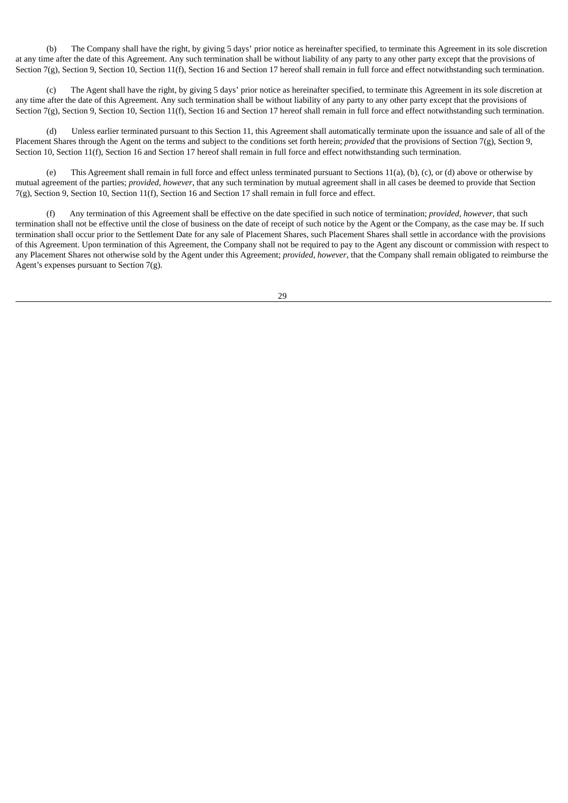(b) The Company shall have the right, by giving 5 days' prior notice as hereinafter specified, to terminate this Agreement in its sole discretion at any time after the date of this Agreement. Any such termination shall be without liability of any party to any other party except that the provisions of Section 7(g), Section 9, Section 10, Section 11(f), Section 16 and Section 17 hereof shall remain in full force and effect notwithstanding such termination.

(c) The Agent shall have the right, by giving 5 days' prior notice as hereinafter specified, to terminate this Agreement in its sole discretion at any time after the date of this Agreement. Any such termination shall be without liability of any party to any other party except that the provisions of Section 7(g), Section 9, Section 10, Section 11(f), Section 16 and Section 17 hereof shall remain in full force and effect notwithstanding such termination.

(d) Unless earlier terminated pursuant to this Section 11, this Agreement shall automatically terminate upon the issuance and sale of all of the Placement Shares through the Agent on the terms and subject to the conditions set forth herein; *provided* that the provisions of Section 7(g), Section 9, Section 10, Section 11(f), Section 16 and Section 17 hereof shall remain in full force and effect notwithstanding such termination.

(e) This Agreement shall remain in full force and effect unless terminated pursuant to Sections 11(a), (b), (c), or (d) above or otherwise by mutual agreement of the parties; *provided*, *however*, that any such termination by mutual agreement shall in all cases be deemed to provide that Section 7(g), Section 9, Section 10, Section 11(f), Section 16 and Section 17 shall remain in full force and effect.

(f) Any termination of this Agreement shall be effective on the date specified in such notice of termination; *provided, however*, that such termination shall not be effective until the close of business on the date of receipt of such notice by the Agent or the Company, as the case may be. If such termination shall occur prior to the Settlement Date for any sale of Placement Shares, such Placement Shares shall settle in accordance with the provisions of this Agreement. Upon termination of this Agreement, the Company shall not be required to pay to the Agent any discount or commission with respect to any Placement Shares not otherwise sold by the Agent under this Agreement; *provided*, *however*, that the Company shall remain obligated to reimburse the Agent's expenses pursuant to Section 7(g).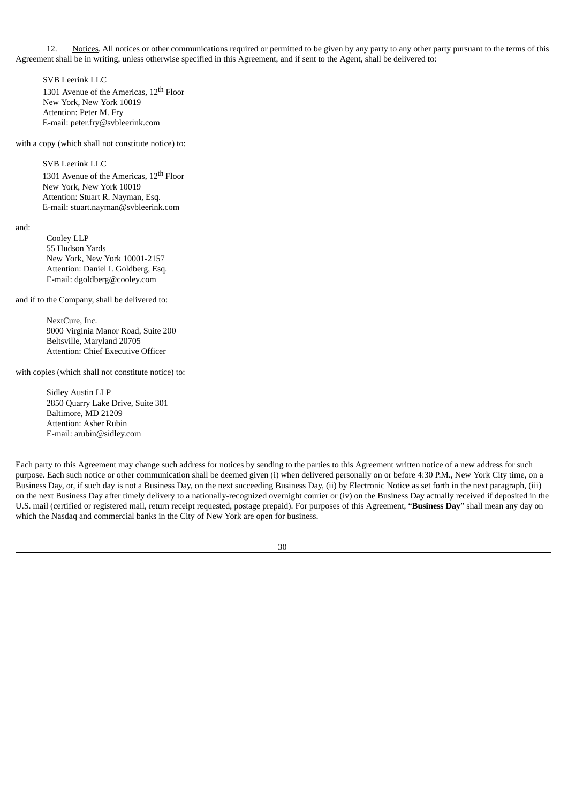12. Notices. All notices or other communications required or permitted to be given by any party to any other party pursuant to the terms of this Agreement shall be in writing, unless otherwise specified in this Agreement, and if sent to the Agent, shall be delivered to:

SVB Leerink LLC 1301 Avenue of the Americas, 12<sup>th</sup> Floor New York, New York 10019 Attention: Peter M. Fry E-mail: peter.fry@svbleerink.com

with a copy (which shall not constitute notice) to:

SVB Leerink LLC

1301 Avenue of the Americas, 12<sup>th</sup> Floor New York, New York 10019 Attention: Stuart R. Nayman, Esq. E-mail: stuart.nayman@svbleerink.com

and:

Cooley LLP 55 Hudson Yards New York, New York 10001-2157 Attention: Daniel I. Goldberg, Esq. E-mail: dgoldberg@cooley.com

and if to the Company, shall be delivered to:

NextCure, Inc. 9000 Virginia Manor Road, Suite 200 Beltsville, Maryland 20705 Attention: Chief Executive Officer

with copies (which shall not constitute notice) to:

Sidley Austin LLP 2850 Quarry Lake Drive, Suite 301 Baltimore, MD 21209 Attention: Asher Rubin E-mail: arubin@sidley.com

Each party to this Agreement may change such address for notices by sending to the parties to this Agreement written notice of a new address for such purpose. Each such notice or other communication shall be deemed given (i) when delivered personally on or before 4:30 P.M., New York City time, on a Business Day, or, if such day is not a Business Day, on the next succeeding Business Day, (ii) by Electronic Notice as set forth in the next paragraph, (iii) on the next Business Day after timely delivery to a nationally-recognized overnight courier or (iv) on the Business Day actually received if deposited in the U.S. mail (certified or registered mail, return receipt requested, postage prepaid). For purposes of this Agreement, "**Business Day**" shall mean any day on which the Nasdaq and commercial banks in the City of New York are open for business.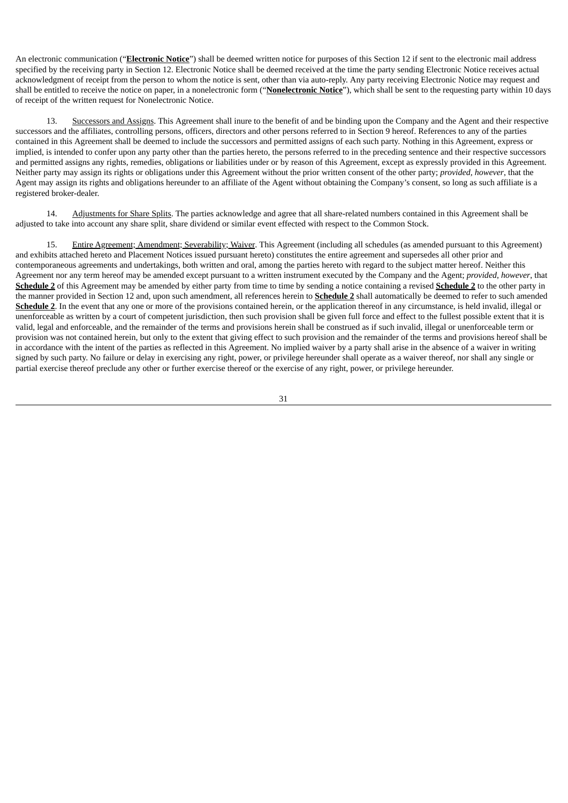An electronic communication ("**Electronic Notice**") shall be deemed written notice for purposes of this Section 12 if sent to the electronic mail address specified by the receiving party in Section 12. Electronic Notice shall be deemed received at the time the party sending Electronic Notice receives actual acknowledgment of receipt from the person to whom the notice is sent, other than via auto-reply. Any party receiving Electronic Notice may request and shall be entitled to receive the notice on paper, in a nonelectronic form ("**Nonelectronic Notice**"), which shall be sent to the requesting party within 10 days of receipt of the written request for Nonelectronic Notice.

13. Successors and Assigns. This Agreement shall inure to the benefit of and be binding upon the Company and the Agent and their respective successors and the affiliates, controlling persons, officers, directors and other persons referred to in Section 9 hereof. References to any of the parties contained in this Agreement shall be deemed to include the successors and permitted assigns of each such party. Nothing in this Agreement, express or implied, is intended to confer upon any party other than the parties hereto, the persons referred to in the preceding sentence and their respective successors and permitted assigns any rights, remedies, obligations or liabilities under or by reason of this Agreement, except as expressly provided in this Agreement. Neither party may assign its rights or obligations under this Agreement without the prior written consent of the other party; *provided, however*, that the Agent may assign its rights and obligations hereunder to an affiliate of the Agent without obtaining the Company's consent, so long as such affiliate is a registered broker-dealer.

Adjustments for Share Splits. The parties acknowledge and agree that all share-related numbers contained in this Agreement shall be adjusted to take into account any share split, share dividend or similar event effected with respect to the Common Stock.

15. Entire Agreement; Amendment; Severability; Waiver. This Agreement (including all schedules (as amended pursuant to this Agreement) and exhibits attached hereto and Placement Notices issued pursuant hereto) constitutes the entire agreement and supersedes all other prior and contemporaneous agreements and undertakings, both written and oral, among the parties hereto with regard to the subject matter hereof. Neither this Agreement nor any term hereof may be amended except pursuant to a written instrument executed by the Company and the Agent; *provided*, *however*, that **Schedule 2** of this Agreement may be amended by either party from time to time by sending a notice containing a revised **Schedule 2** to the other party in the manner provided in Section 12 and, upon such amendment, all references herein to **Schedule 2** shall automatically be deemed to refer to such amended **Schedule 2**. In the event that any one or more of the provisions contained herein, or the application thereof in any circumstance, is held invalid, illegal or unenforceable as written by a court of competent jurisdiction, then such provision shall be given full force and effect to the fullest possible extent that it is valid, legal and enforceable, and the remainder of the terms and provisions herein shall be construed as if such invalid, illegal or unenforceable term or provision was not contained herein, but only to the extent that giving effect to such provision and the remainder of the terms and provisions hereof shall be in accordance with the intent of the parties as reflected in this Agreement. No implied waiver by a party shall arise in the absence of a waiver in writing signed by such party. No failure or delay in exercising any right, power, or privilege hereunder shall operate as a waiver thereof, nor shall any single or partial exercise thereof preclude any other or further exercise thereof or the exercise of any right, power, or privilege hereunder.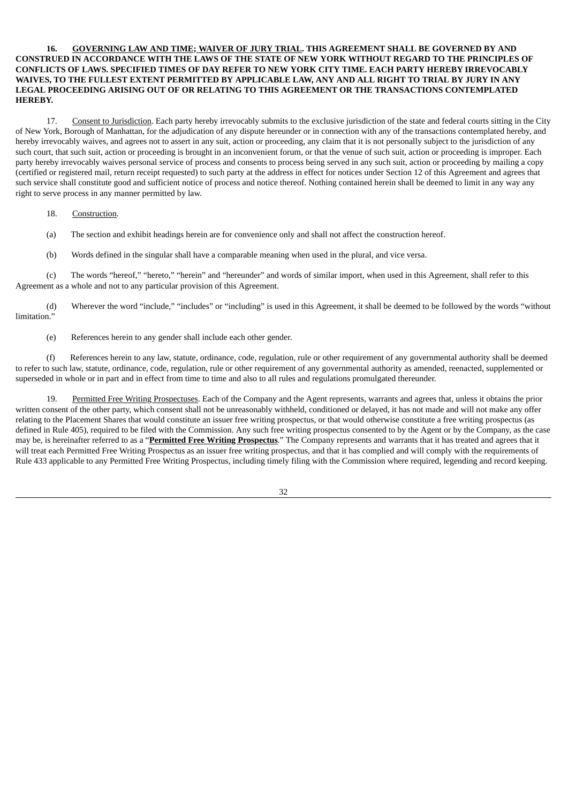## **16. GOVERNING LAW AND TIME; WAIVER OF JURY TRIAL. THIS AGREEMENT SHALL BE GOVERNED BY AND CONSTRUED IN ACCORDANCE WITH THE LAWS OF THE STATE OF NEW YORK WITHOUT REGARD TO THE PRINCIPLES OF CONFLICTS OF LAWS. SPECIFIED TIMES OF DAY REFER TO NEW YORK CITY TIME. EACH PARTY HEREBY IRREVOCABLY** WAIVES, TO THE FULLEST EXTENT PERMITTED BY APPLICABLE LAW, ANY AND ALL RIGHT TO TRIAL BY JURY IN ANY **LEGAL PROCEEDING ARISING OUT OF OR RELATING TO THIS AGREEMENT OR THE TRANSACTIONS CONTEMPLATED HEREBY.**

17. Consent to Jurisdiction. Each party hereby irrevocably submits to the exclusive jurisdiction of the state and federal courts sitting in the City of New York, Borough of Manhattan, for the adjudication of any dispute hereunder or in connection with any of the transactions contemplated hereby, and hereby irrevocably waives, and agrees not to assert in any suit, action or proceeding, any claim that it is not personally subject to the jurisdiction of any such court, that such suit, action or proceeding is brought in an inconvenient forum, or that the venue of such suit, action or proceeding is improper. Each party hereby irrevocably waives personal service of process and consents to process being served in any such suit, action or proceeding by mailing a copy (certified or registered mail, return receipt requested) to such party at the address in effect for notices under Section 12 of this Agreement and agrees that such service shall constitute good and sufficient notice of process and notice thereof. Nothing contained herein shall be deemed to limit in any way any right to serve process in any manner permitted by law.

### 18. Construction.

(a) The section and exhibit headings herein are for convenience only and shall not affect the construction hereof.

(b) Words defined in the singular shall have a comparable meaning when used in the plural, and vice versa.

(c) The words "hereof," "hereto," "herein" and "hereunder" and words of similar import, when used in this Agreement, shall refer to this Agreement as a whole and not to any particular provision of this Agreement.

(d) Wherever the word "include," "includes" or "including" is used in this Agreement, it shall be deemed to be followed by the words "without limitation.'

(e) References herein to any gender shall include each other gender.

(f) References herein to any law, statute, ordinance, code, regulation, rule or other requirement of any governmental authority shall be deemed to refer to such law, statute, ordinance, code, regulation, rule or other requirement of any governmental authority as amended, reenacted, supplemented or superseded in whole or in part and in effect from time to time and also to all rules and regulations promulgated thereunder.

19. Permitted Free Writing Prospectuses. Each of the Company and the Agent represents, warrants and agrees that, unless it obtains the prior written consent of the other party, which consent shall not be unreasonably withheld, conditioned or delayed, it has not made and will not make any offer relating to the Placement Shares that would constitute an issuer free writing prospectus, or that would otherwise constitute a free writing prospectus (as defined in Rule 405), required to be filed with the Commission. Any such free writing prospectus consented to by the Agent or by the Company, as the case may be, is hereinafter referred to as a "**Permitted Free Writing Prospectus**." The Company represents and warrants that it has treated and agrees that it will treat each Permitted Free Writing Prospectus as an issuer free writing prospectus, and that it has complied and will comply with the requirements of Rule 433 applicable to any Permitted Free Writing Prospectus, including timely filing with the Commission where required, legending and record keeping.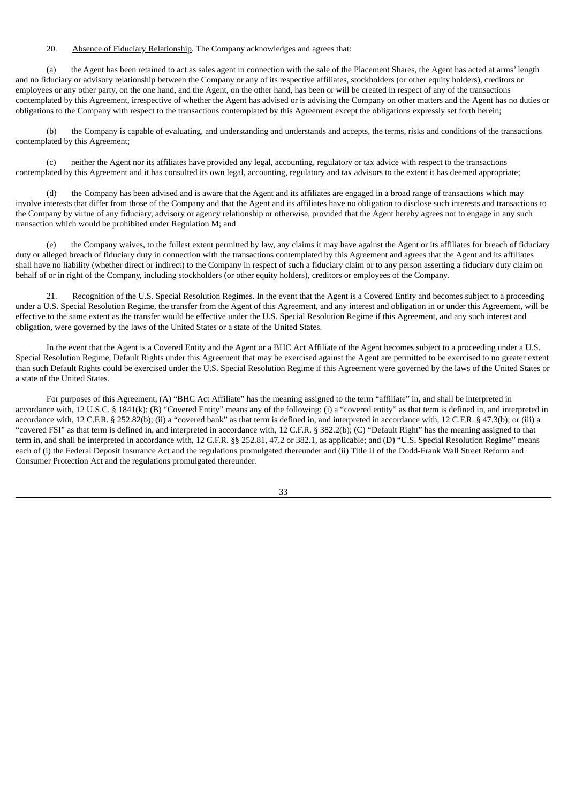# 20. Absence of Fiduciary Relationship. The Company acknowledges and agrees that:

(a) the Agent has been retained to act as sales agent in connection with the sale of the Placement Shares, the Agent has acted at arms' length and no fiduciary or advisory relationship between the Company or any of its respective affiliates, stockholders (or other equity holders), creditors or employees or any other party, on the one hand, and the Agent, on the other hand, has been or will be created in respect of any of the transactions contemplated by this Agreement, irrespective of whether the Agent has advised or is advising the Company on other matters and the Agent has no duties or obligations to the Company with respect to the transactions contemplated by this Agreement except the obligations expressly set forth herein;

(b) the Company is capable of evaluating, and understanding and understands and accepts, the terms, risks and conditions of the transactions contemplated by this Agreement;

(c) neither the Agent nor its affiliates have provided any legal, accounting, regulatory or tax advice with respect to the transactions contemplated by this Agreement and it has consulted its own legal, accounting, regulatory and tax advisors to the extent it has deemed appropriate;

the Company has been advised and is aware that the Agent and its affiliates are engaged in a broad range of transactions which may involve interests that differ from those of the Company and that the Agent and its affiliates have no obligation to disclose such interests and transactions to the Company by virtue of any fiduciary, advisory or agency relationship or otherwise, provided that the Agent hereby agrees not to engage in any such transaction which would be prohibited under Regulation M; and

(e) the Company waives, to the fullest extent permitted by law, any claims it may have against the Agent or its affiliates for breach of fiduciary duty or alleged breach of fiduciary duty in connection with the transactions contemplated by this Agreement and agrees that the Agent and its affiliates shall have no liability (whether direct or indirect) to the Company in respect of such a fiduciary claim or to any person asserting a fiduciary duty claim on behalf of or in right of the Company, including stockholders (or other equity holders), creditors or employees of the Company.

21. Recognition of the U.S. Special Resolution Regimes. In the event that the Agent is a Covered Entity and becomes subject to a proceeding under a U.S. Special Resolution Regime, the transfer from the Agent of this Agreement, and any interest and obligation in or under this Agreement, will be effective to the same extent as the transfer would be effective under the U.S. Special Resolution Regime if this Agreement, and any such interest and obligation, were governed by the laws of the United States or a state of the United States.

In the event that the Agent is a Covered Entity and the Agent or a BHC Act Affiliate of the Agent becomes subject to a proceeding under a U.S. Special Resolution Regime, Default Rights under this Agreement that may be exercised against the Agent are permitted to be exercised to no greater extent than such Default Rights could be exercised under the U.S. Special Resolution Regime if this Agreement were governed by the laws of the United States or a state of the United States.

For purposes of this Agreement, (A) "BHC Act Affiliate" has the meaning assigned to the term "affiliate" in, and shall be interpreted in accordance with, 12 U.S.C. § 1841(k); (B) "Covered Entity" means any of the following: (i) a "covered entity" as that term is defined in, and interpreted in accordance with, 12 C.F.R. § 252.82(b); (ii) a "covered bank" as that term is defined in, and interpreted in accordance with, 12 C.F.R. § 47.3(b); or (iii) a "covered FSI" as that term is defined in, and interpreted in accordance with, 12 C.F.R. § 382.2(b); (C) "Default Right" has the meaning assigned to that term in, and shall be interpreted in accordance with, 12 C.F.R. §§ 252.81, 47.2 or 382.1, as applicable; and (D) "U.S. Special Resolution Regime" means each of (i) the Federal Deposit Insurance Act and the regulations promulgated thereunder and (ii) Title II of the Dodd-Frank Wall Street Reform and Consumer Protection Act and the regulations promulgated thereunder.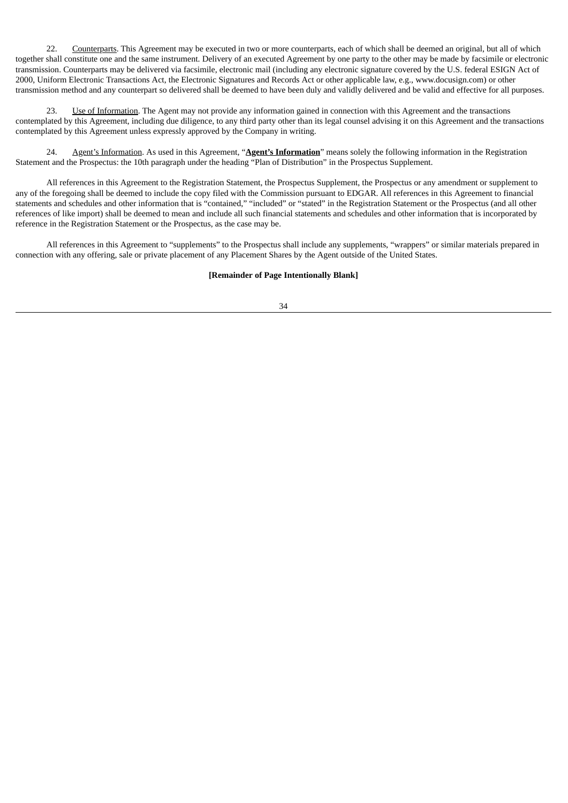22. Counterparts. This Agreement may be executed in two or more counterparts, each of which shall be deemed an original, but all of which together shall constitute one and the same instrument. Delivery of an executed Agreement by one party to the other may be made by facsimile or electronic transmission. Counterparts may be delivered via facsimile, electronic mail (including any electronic signature covered by the U.S. federal ESIGN Act of 2000, Uniform Electronic Transactions Act, the Electronic Signatures and Records Act or other applicable law, e.g., www.docusign.com) or other transmission method and any counterpart so delivered shall be deemed to have been duly and validly delivered and be valid and effective for all purposes.

23. Use of Information. The Agent may not provide any information gained in connection with this Agreement and the transactions contemplated by this Agreement, including due diligence, to any third party other than its legal counsel advising it on this Agreement and the transactions contemplated by this Agreement unless expressly approved by the Company in writing.

24. Agent's Information. As used in this Agreement, "**Agent's Information**" means solely the following information in the Registration Statement and the Prospectus: the 10th paragraph under the heading "Plan of Distribution" in the Prospectus Supplement.

All references in this Agreement to the Registration Statement, the Prospectus Supplement, the Prospectus or any amendment or supplement to any of the foregoing shall be deemed to include the copy filed with the Commission pursuant to EDGAR. All references in this Agreement to financial statements and schedules and other information that is "contained," "included" or "stated" in the Registration Statement or the Prospectus (and all other references of like import) shall be deemed to mean and include all such financial statements and schedules and other information that is incorporated by reference in the Registration Statement or the Prospectus, as the case may be.

All references in this Agreement to "supplements" to the Prospectus shall include any supplements, "wrappers" or similar materials prepared in connection with any offering, sale or private placement of any Placement Shares by the Agent outside of the United States.

## **[Remainder of Page Intentionally Blank]**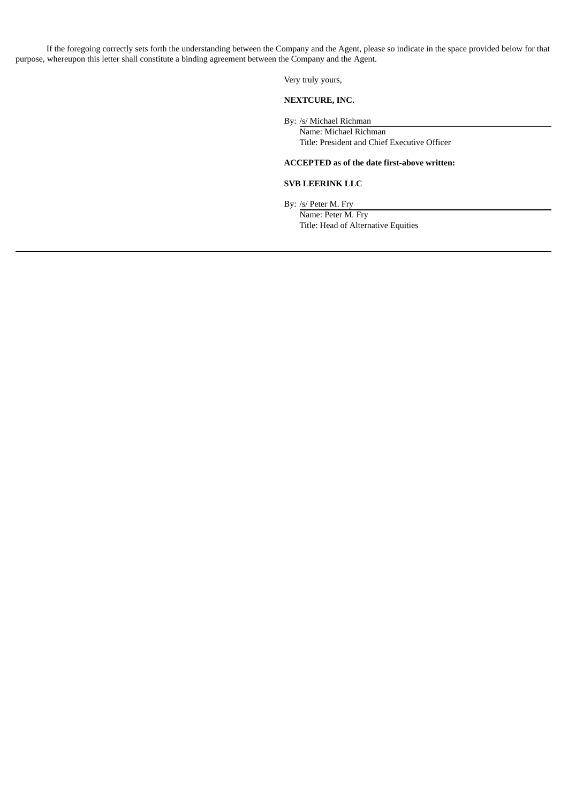If the foregoing correctly sets forth the understanding between the Company and the Agent, please so indicate in the space provided below for that purpose, whereupon this letter shall constitute a binding agreement between the Company and the Agent.

Very truly yours,

# **NEXTCURE, INC.**

By: /s/ Michael Richman

Name: Michael Richman Title: President and Chief Executive Officer

# **ACCEPTED as of the date first-above written:**

# **SVB LEERINK LLC**

By: /s/ Peter M. Fry

Name: Peter M. Fry Title: Head of Alternative Equities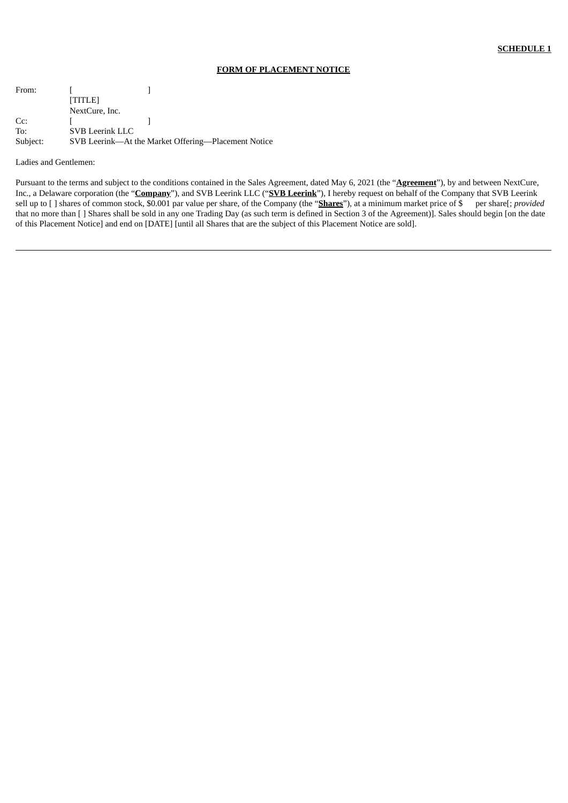## **FORM OF PLACEMENT NOTICE**

| From:    | [TITLE]                |                                                     |
|----------|------------------------|-----------------------------------------------------|
|          | NextCure, Inc.         |                                                     |
| Cc:      |                        |                                                     |
| To:      | <b>SVB Leerink LLC</b> |                                                     |
| Subject: |                        | SVB Leerink—At the Market Offering—Placement Notice |

#### Ladies and Gentlemen:

Pursuant to the terms and subject to the conditions contained in the Sales Agreement, dated May 6, 2021 (the "**Agreement**"), by and between NextCure, Inc., a Delaware corporation (the "**Company**"), and SVB Leerink LLC ("**SVB Leerink**"), I hereby request on behalf of the Company that SVB Leerink sell up to [ ] shares of common stock, \$0.001 par value per share, of the Company (the "**Shares**"), at a minimum market price of \$ per share[; *provided* that no more than [ ] Shares shall be sold in any one Trading Day (as such term is defined in Section 3 of the Agreement)]. Sales should begin [on the date of this Placement Notice] and end on [DATE] [until all Shares that are the subject of this Placement Notice are sold].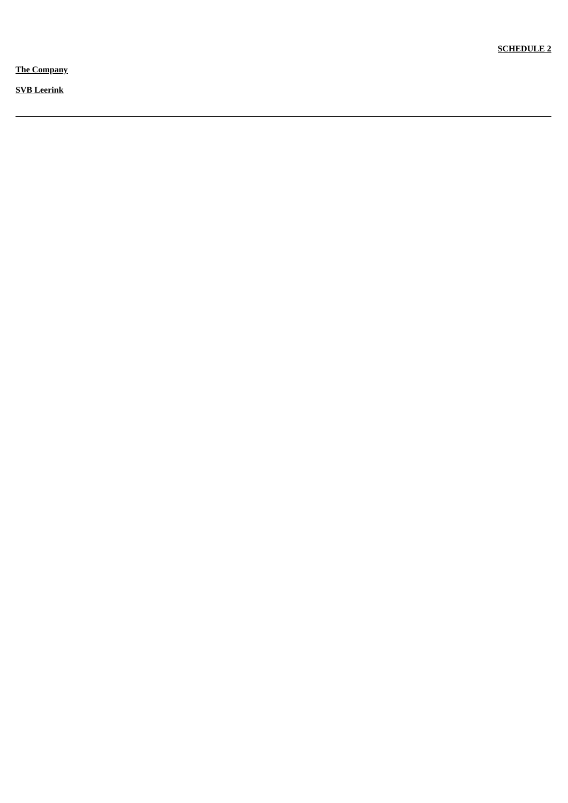**The Company** 

**<u>SVB</u>** Leerink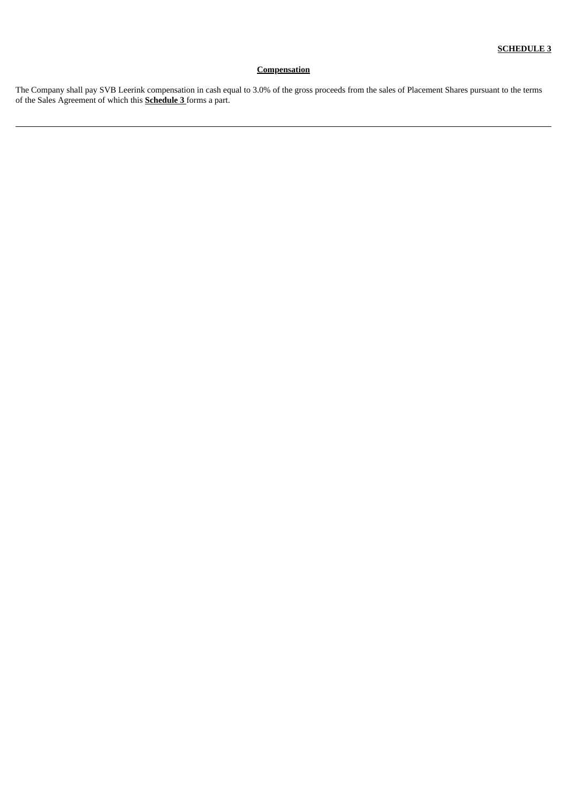# **Compensation**

The Company shall pay SVB Leerink compensation in cash equal to 3.0% of the gross proceeds from the sales of Placement Shares pursuant to the terms of the Sales Agreement of which this **Schedule 3** forms a part.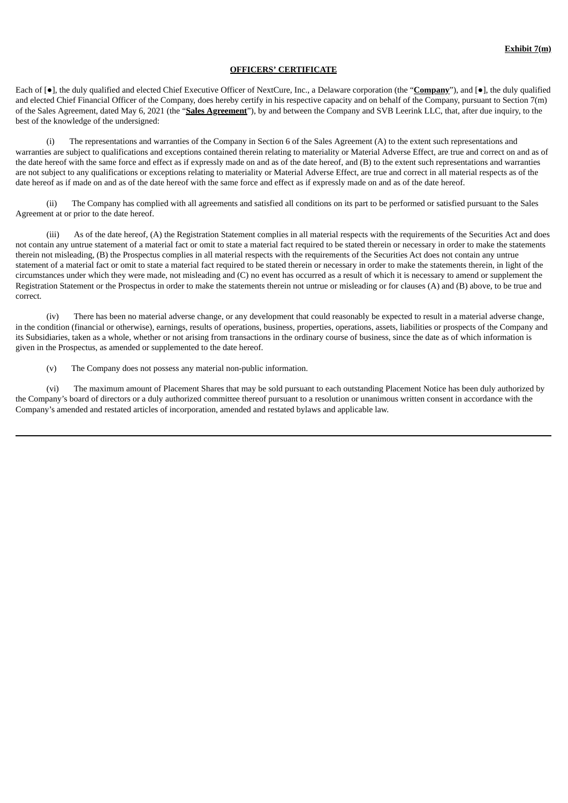### **OFFICERS' CERTIFICATE**

Each of [●], the duly qualified and elected Chief Executive Officer of NextCure, Inc., a Delaware corporation (the "**Company**"), and [●], the duly qualified and elected Chief Financial Officer of the Company, does hereby certify in his respective capacity and on behalf of the Company, pursuant to Section 7(m) of the Sales Agreement, dated May 6, 2021 (the "**Sales Agreement**"), by and between the Company and SVB Leerink LLC, that, after due inquiry, to the best of the knowledge of the undersigned:

The representations and warranties of the Company in Section 6 of the Sales Agreement (A) to the extent such representations and warranties are subject to qualifications and exceptions contained therein relating to materiality or Material Adverse Effect, are true and correct on and as of the date hereof with the same force and effect as if expressly made on and as of the date hereof, and (B) to the extent such representations and warranties are not subject to any qualifications or exceptions relating to materiality or Material Adverse Effect, are true and correct in all material respects as of the date hereof as if made on and as of the date hereof with the same force and effect as if expressly made on and as of the date hereof.

The Company has complied with all agreements and satisfied all conditions on its part to be performed or satisfied pursuant to the Sales Agreement at or prior to the date hereof.

(iii) As of the date hereof, (A) the Registration Statement complies in all material respects with the requirements of the Securities Act and does not contain any untrue statement of a material fact or omit to state a material fact required to be stated therein or necessary in order to make the statements therein not misleading, (B) the Prospectus complies in all material respects with the requirements of the Securities Act does not contain any untrue statement of a material fact or omit to state a material fact required to be stated therein or necessary in order to make the statements therein, in light of the circumstances under which they were made, not misleading and (C) no event has occurred as a result of which it is necessary to amend or supplement the Registration Statement or the Prospectus in order to make the statements therein not untrue or misleading or for clauses (A) and (B) above, to be true and correct.

(iv) There has been no material adverse change, or any development that could reasonably be expected to result in a material adverse change, in the condition (financial or otherwise), earnings, results of operations, business, properties, operations, assets, liabilities or prospects of the Company and its Subsidiaries, taken as a whole, whether or not arising from transactions in the ordinary course of business, since the date as of which information is given in the Prospectus, as amended or supplemented to the date hereof.

(v) The Company does not possess any material non-public information.

(vi) The maximum amount of Placement Shares that may be sold pursuant to each outstanding Placement Notice has been duly authorized by the Company's board of directors or a duly authorized committee thereof pursuant to a resolution or unanimous written consent in accordance with the Company's amended and restated articles of incorporation, amended and restated bylaws and applicable law.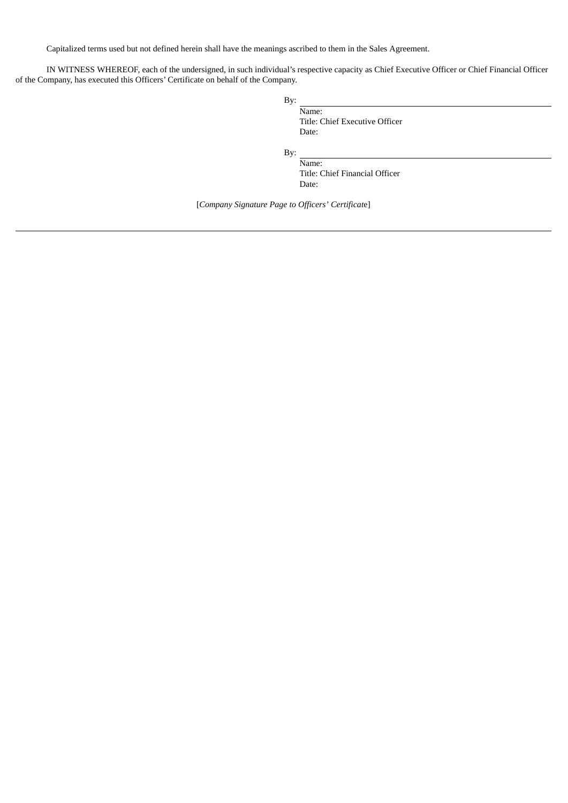Capitalized terms used but not defined herein shall have the meanings ascribed to them in the Sales Agreement.

IN WITNESS WHEREOF, each of the undersigned, in such individual's respective capacity as Chief Executive Officer or Chief Financial Officer of the Company, has executed this Officers' Certificate on behalf of the Company.

| By: |                                |
|-----|--------------------------------|
|     | Name:                          |
|     | Title: Chief Executive Officer |
|     | Date:                          |
| By: |                                |
|     | Name:                          |
|     | Title: Chief Financial Officer |

Date:

[*Company Signature Page to Officers' Certificat*e]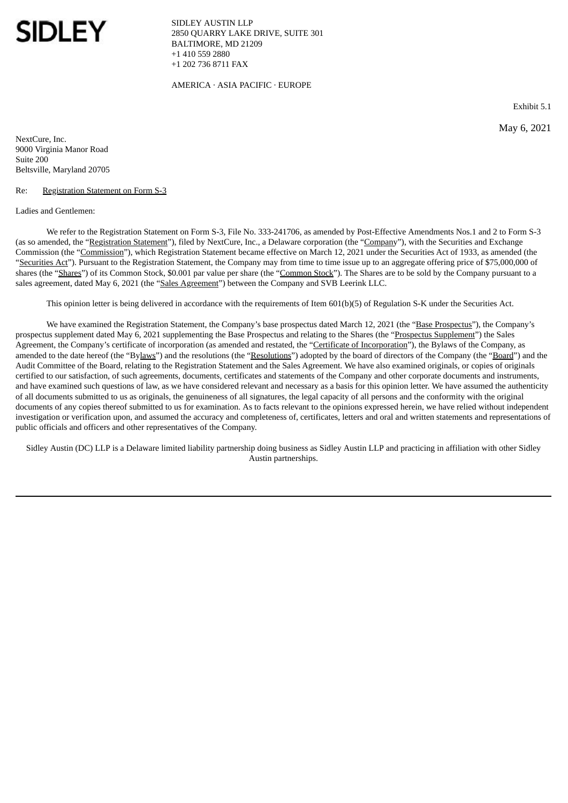<span id="page-44-0"></span>

SIDLEY AUSTIN LLP 2850 QUARRY LAKE DRIVE, SUITE 301 BALTIMORE, MD 21209 +1 410 559 2880 +1 202 736 8711 FAX

AMERICA · ASIA PACIFIC · EUROPE

Exhibit 5.1

May 6, 2021

NextCure, Inc. 9000 Virginia Manor Road Suite 200 Beltsville, Maryland 20705

#### Re: Registration Statement on Form S-3

#### Ladies and Gentlemen:

We refer to the Registration Statement on Form S-3, File No. 333-241706, as amended by Post-Effective Amendments Nos.1 and 2 to Form S-3 (as so amended, the "Registration Statement"), filed by NextCure, Inc., a Delaware corporation (the "Company"), with the Securities and Exchange Commission (the "Commission"), which Registration Statement became effective on March 12, 2021 under the Securities Act of 1933, as amended (the "Securities Act"). Pursuant to the Registration Statement, the Company may from time to time issue up to an aggregate offering price of \$75,000,000 of shares (the "Shares") of its Common Stock, \$0.001 par value per share (the "Common Stock"). The Shares are to be sold by the Company pursuant to a sales agreement, dated May 6, 2021 (the "Sales Agreement") between the Company and SVB Leerink LLC.

This opinion letter is being delivered in accordance with the requirements of Item 601(b)(5) of Regulation S-K under the Securities Act.

We have examined the Registration Statement, the Company's base prospectus dated March 12, 2021 (the "Base Prospectus"), the Company's prospectus supplement dated May 6, 2021 supplementing the Base Prospectus and relating to the Shares (the "Prospectus Supplement") the Sales Agreement, the Company's certificate of incorporation (as amended and restated, the "Certificate of Incorporation"), the Bylaws of the Company, as amended to the date hereof (the "Bylaws") and the resolutions (the "Resolutions") adopted by the board of directors of the Company (the "Board") and the Audit Committee of the Board, relating to the Registration Statement and the Sales Agreement. We have also examined originals, or copies of originals certified to our satisfaction, of such agreements, documents, certificates and statements of the Company and other corporate documents and instruments, and have examined such questions of law, as we have considered relevant and necessary as a basis for this opinion letter. We have assumed the authenticity of all documents submitted to us as originals, the genuineness of all signatures, the legal capacity of all persons and the conformity with the original documents of any copies thereof submitted to us for examination. As to facts relevant to the opinions expressed herein, we have relied without independent investigation or verification upon, and assumed the accuracy and completeness of, certificates, letters and oral and written statements and representations of public officials and officers and other representatives of the Company.

Sidley Austin (DC) LLP is a Delaware limited liability partnership doing business as Sidley Austin LLP and practicing in affiliation with other Sidley Austin partnerships.